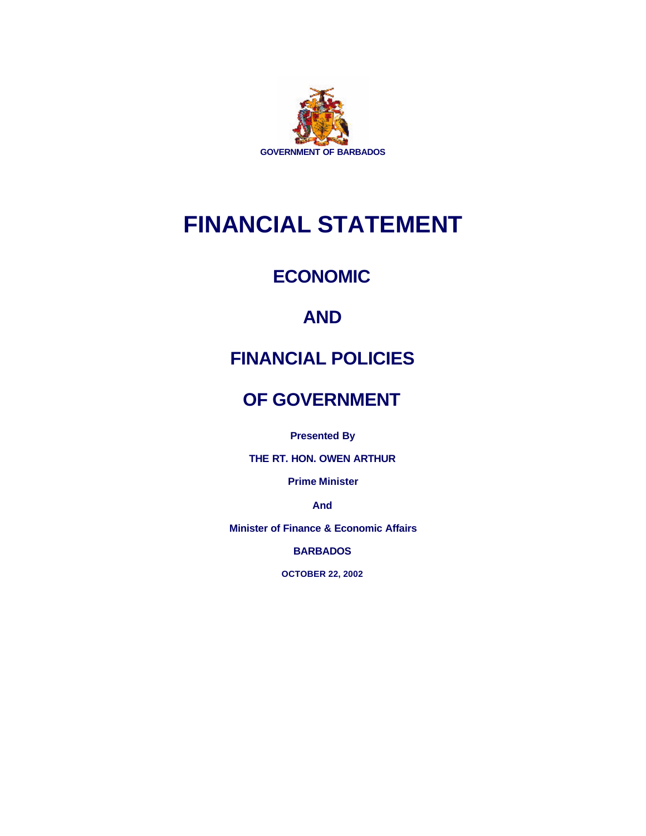

# **FINANCIAL STATEMENT**

# **ECONOMIC**

# **AND**

# **FINANCIAL POLICIES**

# **OF GOVERNMENT**

**Presented By**

**THE RT. HON. OWEN ARTHUR**

**Prime Minister**

**And**

**Minister of Finance & Economic Affairs**

**BARBADOS**

**OCTOBER 22, 2002**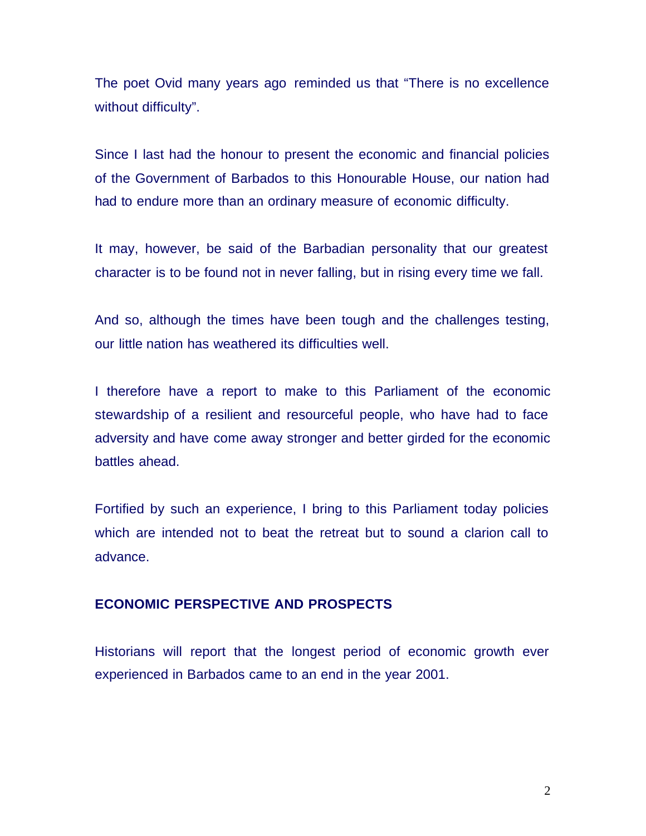The poet Ovid many years ago reminded us that "There is no excellence without difficulty".

Since I last had the honour to present the economic and financial policies of the Government of Barbados to this Honourable House, our nation had had to endure more than an ordinary measure of economic difficulty.

It may, however, be said of the Barbadian personality that our greatest character is to be found not in never falling, but in rising every time we fall.

And so, although the times have been tough and the challenges testing, our little nation has weathered its difficulties well.

I therefore have a report to make to this Parliament of the economic stewardship of a resilient and resourceful people, who have had to face adversity and have come away stronger and better girded for the economic battles ahead.

Fortified by such an experience, I bring to this Parliament today policies which are intended not to beat the retreat but to sound a clarion call to advance.

# **ECONOMIC PERSPECTIVE AND PROSPECTS**

Historians will report that the longest period of economic growth ever experienced in Barbados came to an end in the year 2001.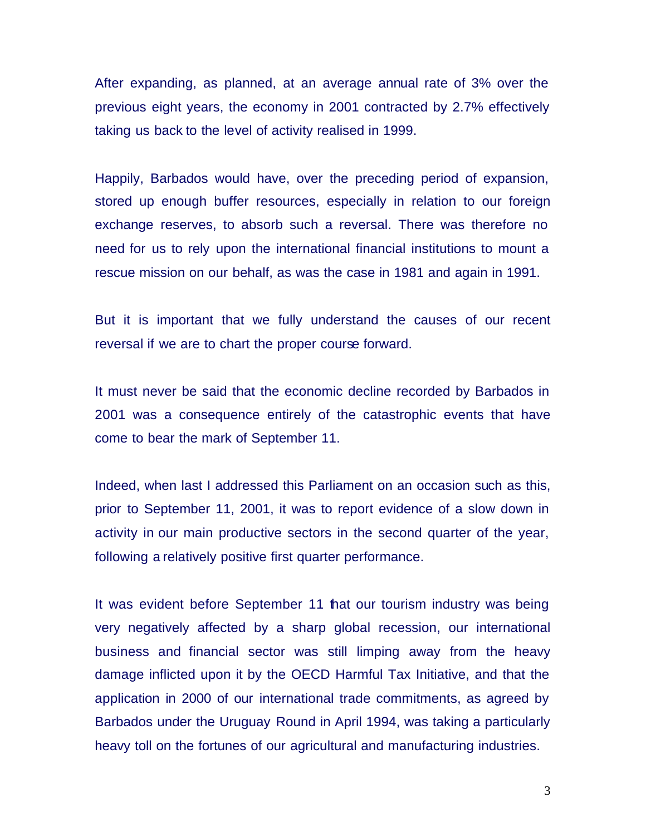After expanding, as planned, at an average annual rate of 3% over the previous eight years, the economy in 2001 contracted by 2.7% effectively taking us back to the level of activity realised in 1999.

Happily, Barbados would have, over the preceding period of expansion, stored up enough buffer resources, especially in relation to our foreign exchange reserves, to absorb such a reversal. There was therefore no need for us to rely upon the international financial institutions to mount a rescue mission on our behalf, as was the case in 1981 and again in 1991.

But it is important that we fully understand the causes of our recent reversal if we are to chart the proper course forward.

It must never be said that the economic decline recorded by Barbados in 2001 was a consequence entirely of the catastrophic events that have come to bear the mark of September 11.

Indeed, when last I addressed this Parliament on an occasion such as this, prior to September 11, 2001, it was to report evidence of a slow down in activity in our main productive sectors in the second quarter of the year, following a relatively positive first quarter performance.

It was evident before September 11 that our tourism industry was being very negatively affected by a sharp global recession, our international business and financial sector was still limping away from the heavy damage inflicted upon it by the OECD Harmful Tax Initiative, and that the application in 2000 of our international trade commitments, as agreed by Barbados under the Uruguay Round in April 1994, was taking a particularly heavy toll on the fortunes of our agricultural and manufacturing industries.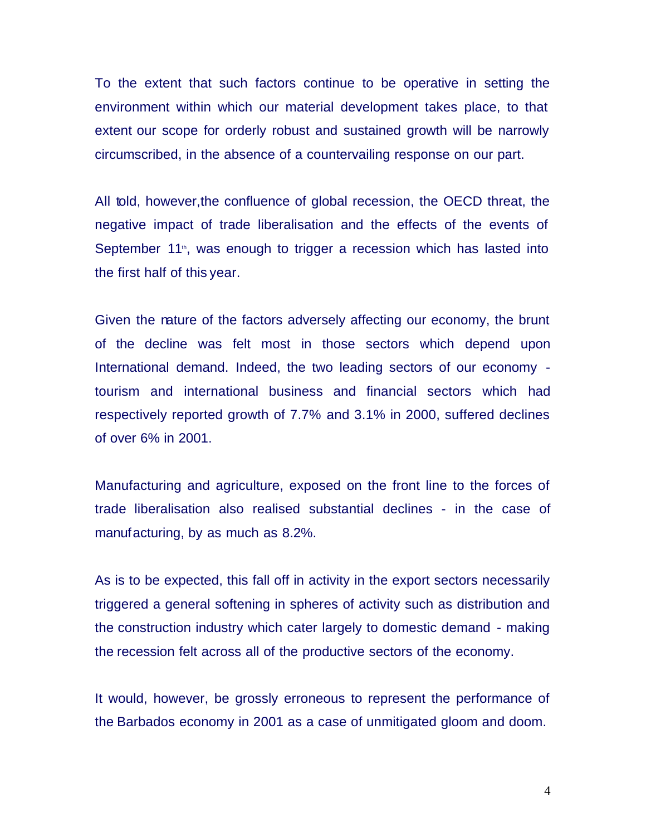To the extent that such factors continue to be operative in setting the environment within which our material development takes place, to that extent our scope for orderly robust and sustained growth will be narrowly circumscribed, in the absence of a countervailing response on our part.

All told, however,the confluence of global recession, the OECD threat, the negative impact of trade liberalisation and the effects of the events of September 11<sup>th</sup>, was enough to trigger a recession which has lasted into the first half of this year.

Given the nature of the factors adversely affecting our economy, the brunt of the decline was felt most in those sectors which depend upon International demand. Indeed, the two leading sectors of our economy tourism and international business and financial sectors which had respectively reported growth of 7.7% and 3.1% in 2000, suffered declines of over 6% in 2001.

Manufacturing and agriculture, exposed on the front line to the forces of trade liberalisation also realised substantial declines - in the case of manufacturing, by as much as 8.2%.

As is to be expected, this fall off in activity in the export sectors necessarily triggered a general softening in spheres of activity such as distribution and the construction industry which cater largely to domestic demand - making the recession felt across all of the productive sectors of the economy.

It would, however, be grossly erroneous to represent the performance of the Barbados economy in 2001 as a case of unmitigated gloom and doom.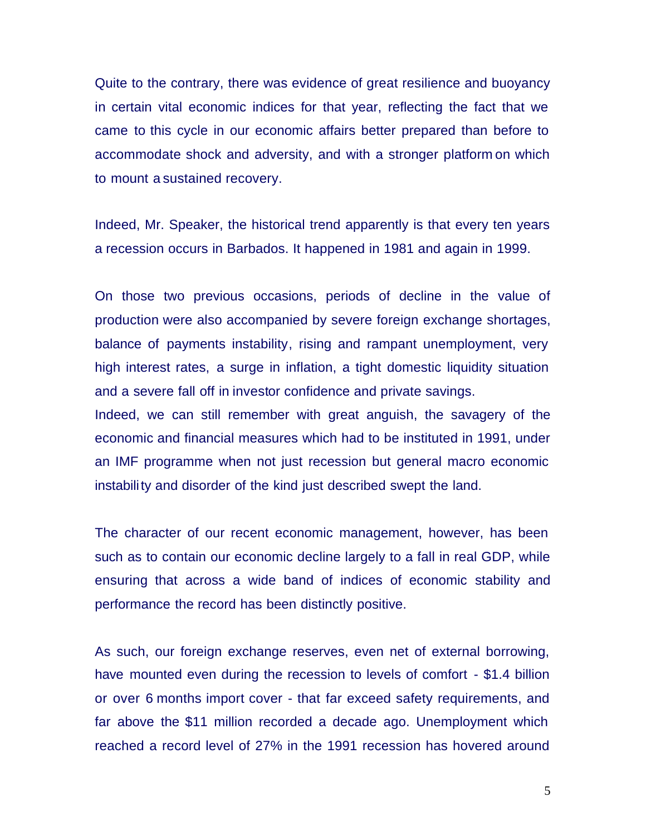Quite to the contrary, there was evidence of great resilience and buoyancy in certain vital economic indices for that year, reflecting the fact that we came to this cycle in our economic affairs better prepared than before to accommodate shock and adversity, and with a stronger platform on which to mount a sustained recovery.

Indeed, Mr. Speaker, the historical trend apparently is that every ten years a recession occurs in Barbados. It happened in 1981 and again in 1999.

On those two previous occasions, periods of decline in the value of production were also accompanied by severe foreign exchange shortages, balance of payments instability, rising and rampant unemployment, very high interest rates, a surge in inflation, a tight domestic liquidity situation and a severe fall off in investor confidence and private savings.

Indeed, we can still remember with great anguish, the savagery of the economic and financial measures which had to be instituted in 1991, under an IMF programme when not just recession but general macro economic instability and disorder of the kind just described swept the land.

The character of our recent economic management, however, has been such as to contain our economic decline largely to a fall in real GDP, while ensuring that across a wide band of indices of economic stability and performance the record has been distinctly positive.

As such, our foreign exchange reserves, even net of external borrowing, have mounted even during the recession to levels of comfort - \$1.4 billion or over 6 months import cover - that far exceed safety requirements, and far above the \$11 million recorded a decade ago. Unemployment which reached a record level of 27% in the 1991 recession has hovered around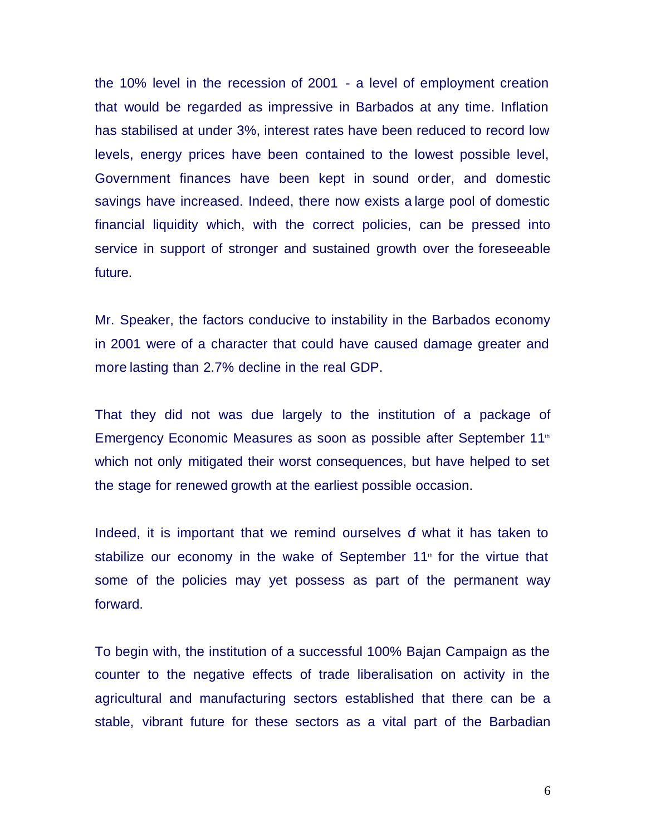the 10% level in the recession of 2001 - a level of employment creation that would be regarded as impressive in Barbados at any time. Inflation has stabilised at under 3%, interest rates have been reduced to record low levels, energy prices have been contained to the lowest possible level, Government finances have been kept in sound order, and domestic savings have increased. Indeed, there now exists a large pool of domestic financial liquidity which, with the correct policies, can be pressed into service in support of stronger and sustained growth over the foreseeable future.

Mr. Speaker, the factors conducive to instability in the Barbados economy in 2001 were of a character that could have caused damage greater and more lasting than 2.7% decline in the real GDP.

That they did not was due largely to the institution of a package of Emergency Economic Measures as soon as possible after September 11<sup>th</sup> which not only mitigated their worst consequences, but have helped to set the stage for renewed growth at the earliest possible occasion.

Indeed, it is important that we remind ourselves of what it has taken to stabilize our economy in the wake of September  $11<sup>th</sup>$  for the virtue that some of the policies may yet possess as part of the permanent way forward.

To begin with, the institution of a successful 100% Bajan Campaign as the counter to the negative effects of trade liberalisation on activity in the agricultural and manufacturing sectors established that there can be a stable, vibrant future for these sectors as a vital part of the Barbadian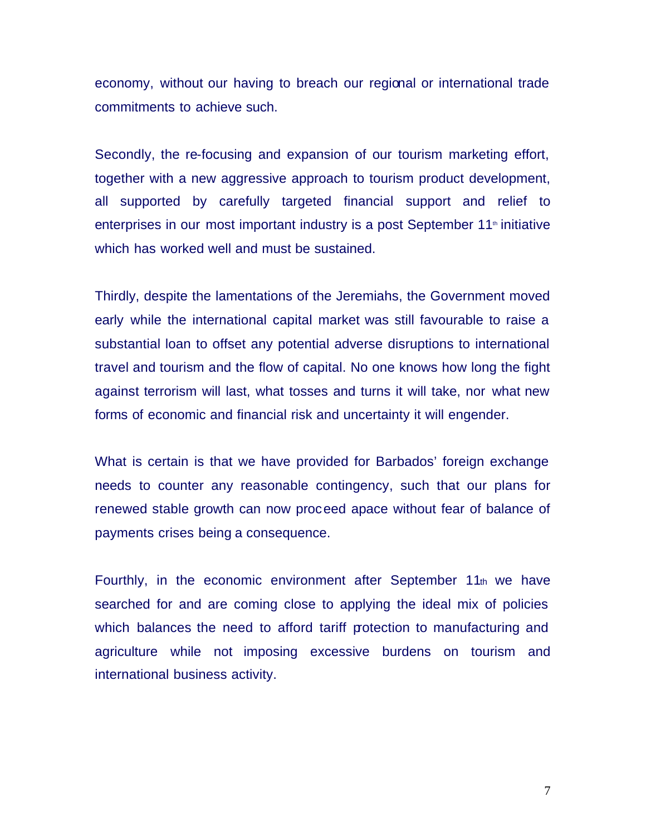economy, without our having to breach our regional or international trade commitments to achieve such.

Secondly, the re-focusing and expansion of our tourism marketing effort, together with a new aggressive approach to tourism product development, all supported by carefully targeted financial support and relief to enterprises in our most important industry is a post September  $11<sup>th</sup>$  initiative which has worked well and must be sustained.

Thirdly, despite the lamentations of the Jeremiahs, the Government moved early while the international capital market was still favourable to raise a substantial loan to offset any potential adverse disruptions to international travel and tourism and the flow of capital. No one knows how long the fight against terrorism will last, what tosses and turns it will take, nor what new forms of economic and financial risk and uncertainty it will engender.

What is certain is that we have provided for Barbados' foreign exchange needs to counter any reasonable contingency, such that our plans for renewed stable growth can now proceed apace without fear of balance of payments crises being a consequence.

Fourthly, in the economic environment after September 11th we have searched for and are coming close to applying the ideal mix of policies which balances the need to afford tariff protection to manufacturing and agriculture while not imposing excessive burdens on tourism and international business activity.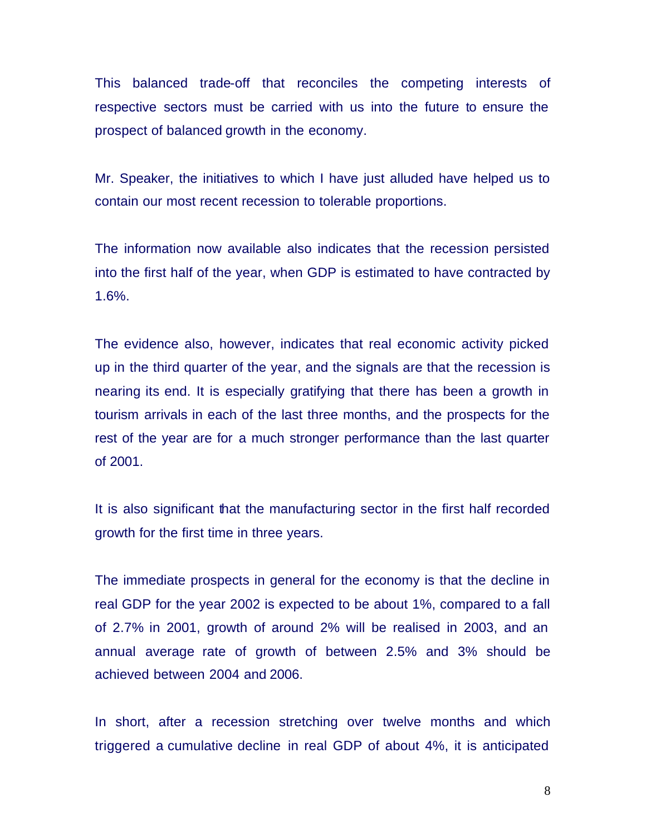This balanced trade-off that reconciles the competing interests of respective sectors must be carried with us into the future to ensure the prospect of balanced growth in the economy.

Mr. Speaker, the initiatives to which I have just alluded have helped us to contain our most recent recession to tolerable proportions.

The information now available also indicates that the recession persisted into the first half of the year, when GDP is estimated to have contracted by 1.6%.

The evidence also, however, indicates that real economic activity picked up in the third quarter of the year, and the signals are that the recession is nearing its end. It is especially gratifying that there has been a growth in tourism arrivals in each of the last three months, and the prospects for the rest of the year are for a much stronger performance than the last quarter of 2001.

It is also significant that the manufacturing sector in the first half recorded growth for the first time in three years.

The immediate prospects in general for the economy is that the decline in real GDP for the year 2002 is expected to be about 1%, compared to a fall of 2.7% in 2001, growth of around 2% will be realised in 2003, and an annual average rate of growth of between 2.5% and 3% should be achieved between 2004 and 2006.

In short, after a recession stretching over twelve months and which triggered a cumulative decline in real GDP of about 4%, it is anticipated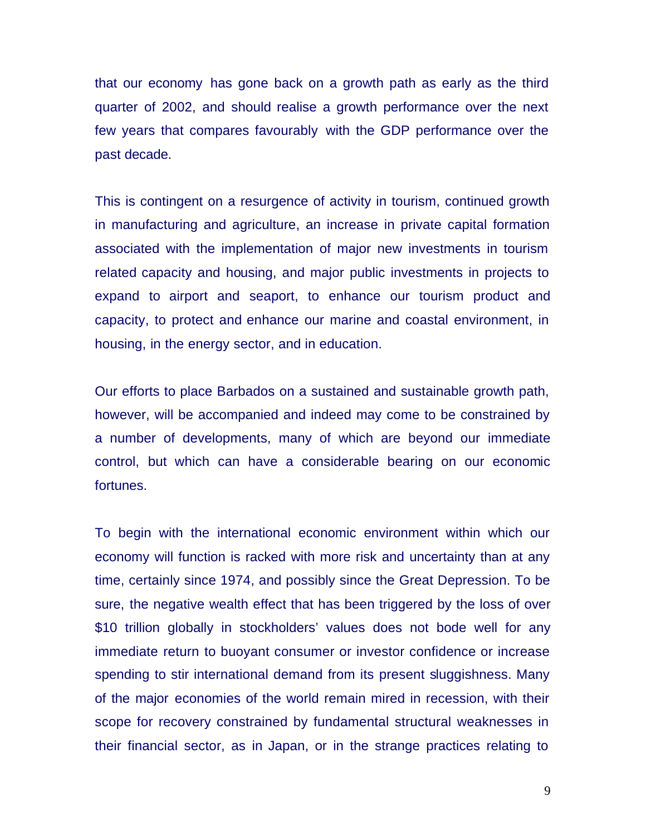that our economy has gone back on a growth path as early as the third quarter of 2002, and should realise a growth performance over the next few years that compares favourably with the GDP performance over the past decade.

This is contingent on a resurgence of activity in tourism, continued growth in manufacturing and agriculture, an increase in private capital formation associated with the implementation of major new investments in tourism related capacity and housing, and major public investments in projects to expand to airport and seaport, to enhance our tourism product and capacity, to protect and enhance our marine and coastal environment, in housing, in the energy sector, and in education.

Our efforts to place Barbados on a sustained and sustainable growth path, however, will be accompanied and indeed may come to be constrained by a number of developments, many of which are beyond our immediate control, but which can have a considerable bearing on our economic fortunes.

To begin with the international economic environment within which our economy will function is racked with more risk and uncertainty than at any time, certainly since 1974, and possibly since the Great Depression. To be sure, the negative wealth effect that has been triggered by the loss of over \$10 trillion globally in stockholders' values does not bode well for any immediate return to buoyant consumer or investor confidence or increase spending to stir international demand from its present sluggishness. Many of the major economies of the world remain mired in recession, with their scope for recovery constrained by fundamental structural weaknesses in their financial sector, as in Japan, or in the strange practices relating to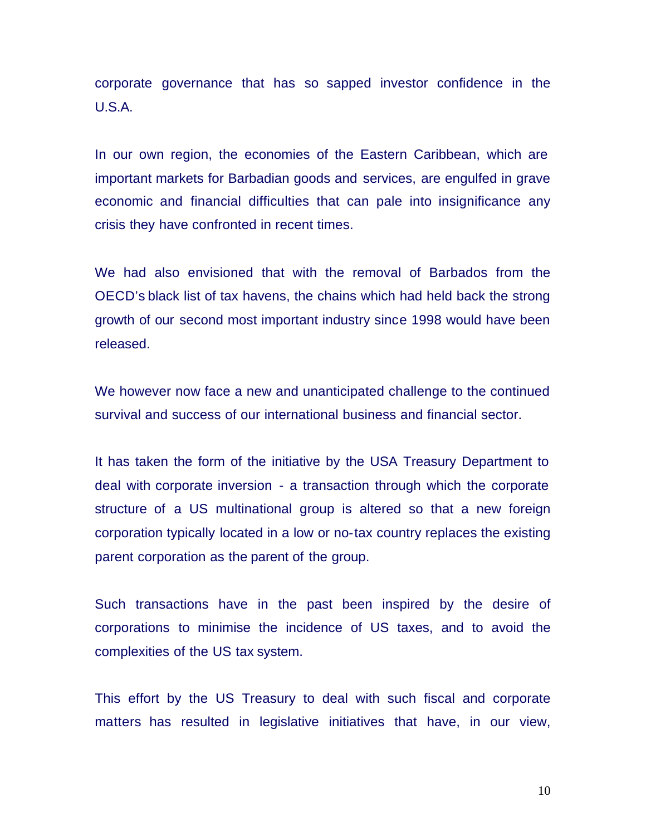corporate governance that has so sapped investor confidence in the U.S.A.

In our own region, the economies of the Eastern Caribbean, which are important markets for Barbadian goods and services, are engulfed in grave economic and financial difficulties that can pale into insignificance any crisis they have confronted in recent times.

We had also envisioned that with the removal of Barbados from the OECD's black list of tax havens, the chains which had held back the strong growth of our second most important industry since 1998 would have been released.

We however now face a new and unanticipated challenge to the continued survival and success of our international business and financial sector.

It has taken the form of the initiative by the USA Treasury Department to deal with corporate inversion - a transaction through which the corporate structure of a US multinational group is altered so that a new foreign corporation typically located in a low or no-tax country replaces the existing parent corporation as the parent of the group.

Such transactions have in the past been inspired by the desire of corporations to minimise the incidence of US taxes, and to avoid the complexities of the US tax system.

This effort by the US Treasury to deal with such fiscal and corporate matters has resulted in legislative initiatives that have, in our view,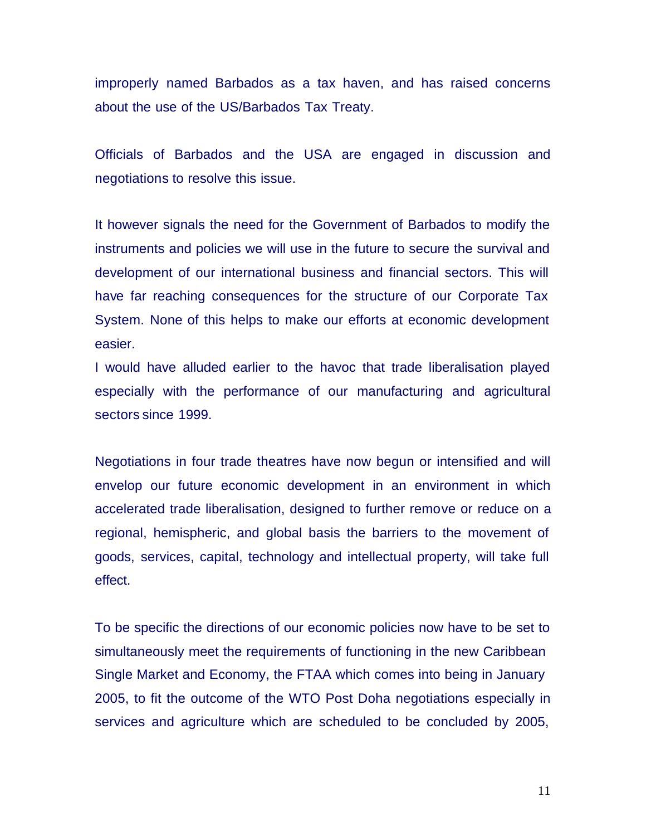improperly named Barbados as a tax haven, and has raised concerns about the use of the US/Barbados Tax Treaty.

Officials of Barbados and the USA are engaged in discussion and negotiations to resolve this issue.

It however signals the need for the Government of Barbados to modify the instruments and policies we will use in the future to secure the survival and development of our international business and financial sectors. This will have far reaching consequences for the structure of our Corporate Tax System. None of this helps to make our efforts at economic development easier.

I would have alluded earlier to the havoc that trade liberalisation played especially with the performance of our manufacturing and agricultural sectors since 1999.

Negotiations in four trade theatres have now begun or intensified and will envelop our future economic development in an environment in which accelerated trade liberalisation, designed to further remove or reduce on a regional, hemispheric, and global basis the barriers to the movement of goods, services, capital, technology and intellectual property, will take full effect.

To be specific the directions of our economic policies now have to be set to simultaneously meet the requirements of functioning in the new Caribbean Single Market and Economy, the FTAA which comes into being in January 2005, to fit the outcome of the WTO Post Doha negotiations especially in services and agriculture which are scheduled to be concluded by 2005,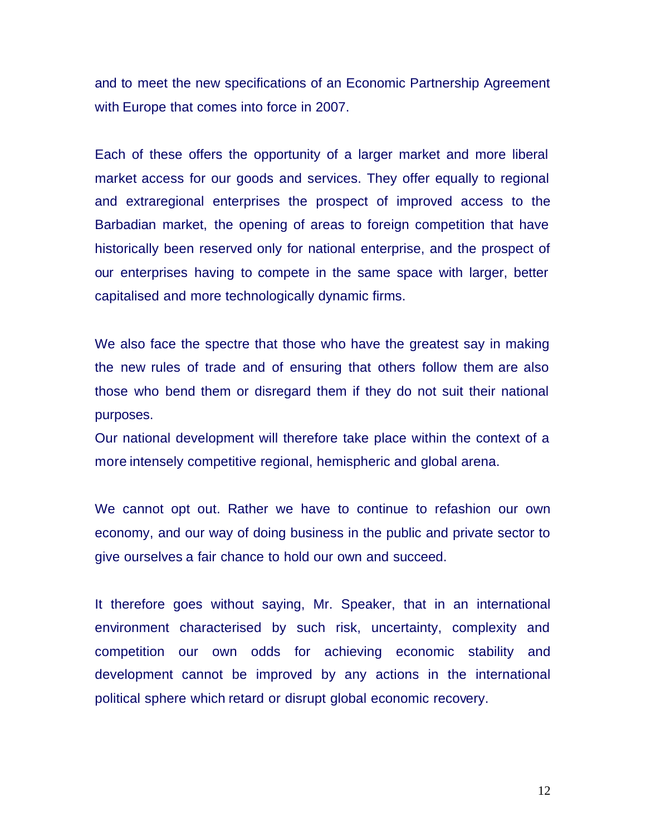and to meet the new specifications of an Economic Partnership Agreement with Europe that comes into force in 2007.

Each of these offers the opportunity of a larger market and more liberal market access for our goods and services. They offer equally to regional and extraregional enterprises the prospect of improved access to the Barbadian market, the opening of areas to foreign competition that have historically been reserved only for national enterprise, and the prospect of our enterprises having to compete in the same space with larger, better capitalised and more technologically dynamic firms.

We also face the spectre that those who have the greatest say in making the new rules of trade and of ensuring that others follow them are also those who bend them or disregard them if they do not suit their national purposes.

Our national development will therefore take place within the context of a more intensely competitive regional, hemispheric and global arena.

We cannot opt out. Rather we have to continue to refashion our own economy, and our way of doing business in the public and private sector to give ourselves a fair chance to hold our own and succeed.

It therefore goes without saying, Mr. Speaker, that in an international environment characterised by such risk, uncertainty, complexity and competition our own odds for achieving economic stability and development cannot be improved by any actions in the international political sphere which retard or disrupt global economic recovery.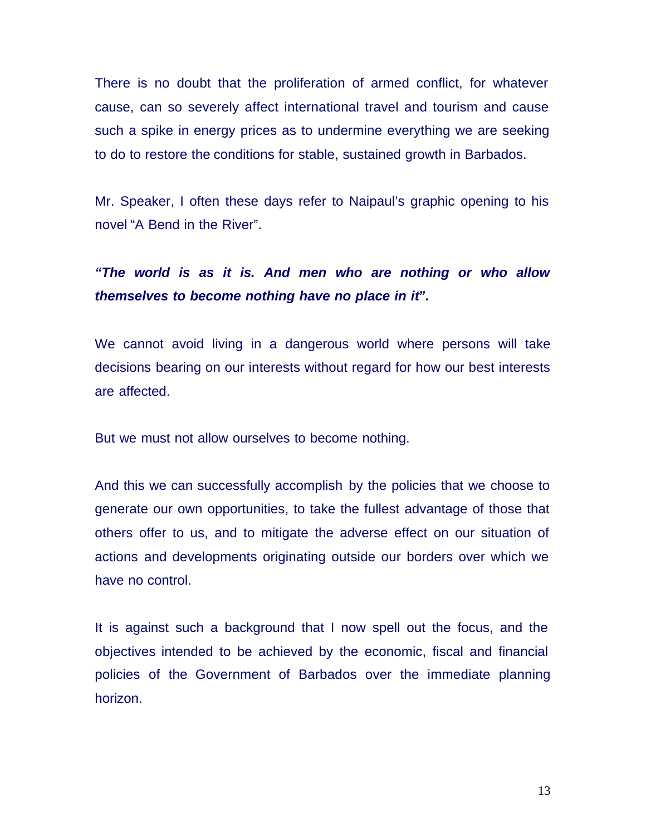There is no doubt that the proliferation of armed conflict, for whatever cause, can so severely affect international travel and tourism and cause such a spike in energy prices as to undermine everything we are seeking to do to restore the conditions for stable, sustained growth in Barbados.

Mr. Speaker, I often these days refer to Naipaul's graphic opening to his novel "A Bend in the River".

# *"The world is as it is. And men who are nothing or who allow themselves to become nothing have no place in it".*

We cannot avoid living in a dangerous world where persons will take decisions bearing on our interests without regard for how our best interests are affected.

But we must not allow ourselves to become nothing.

And this we can successfully accomplish by the policies that we choose to generate our own opportunities, to take the fullest advantage of those that others offer to us, and to mitigate the adverse effect on our situation of actions and developments originating outside our borders over which we have no control.

It is against such a background that I now spell out the focus, and the objectives intended to be achieved by the economic, fiscal and financial policies of the Government of Barbados over the immediate planning horizon.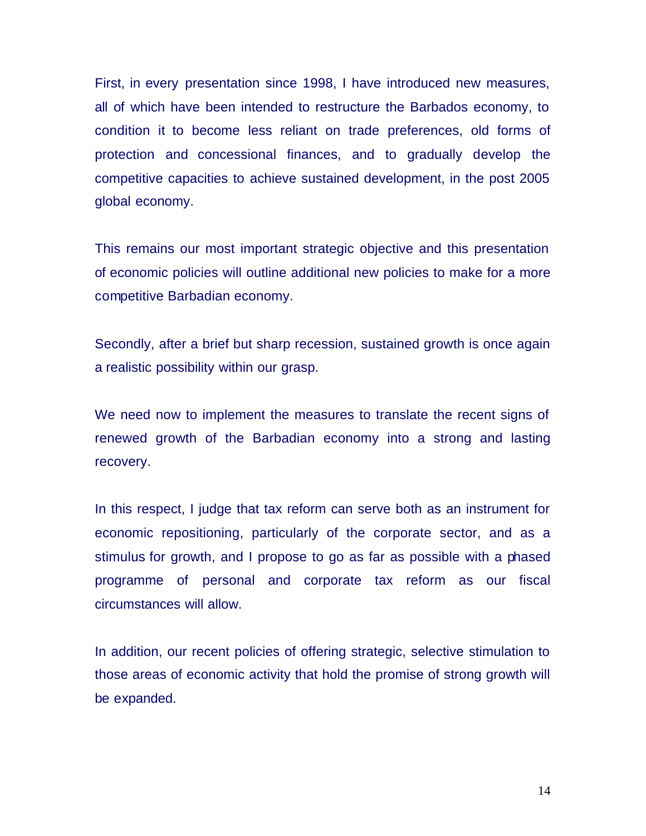First, in every presentation since 1998, I have introduced new measures, all of which have been intended to restructure the Barbados economy, to condition it to become less reliant on trade preferences, old forms of protection and concessional finances, and to gradually develop the competitive capacities to achieve sustained development, in the post 2005 global economy.

This remains our most important strategic objective and this presentation of economic policies will outline additional new policies to make for a more competitive Barbadian economy.

Secondly, after a brief but sharp recession, sustained growth is once again a realistic possibility within our grasp.

We need now to implement the measures to translate the recent signs of renewed growth of the Barbadian economy into a strong and lasting recovery.

In this respect, I judge that tax reform can serve both as an instrument for economic repositioning, particularly of the corporate sector, and as a stimulus for growth, and I propose to go as far as possible with a phased programme of personal and corporate tax reform as our fiscal circumstances will allow.

In addition, our recent policies of offering strategic, selective stimulation to those areas of economic activity that hold the promise of strong growth will be expanded.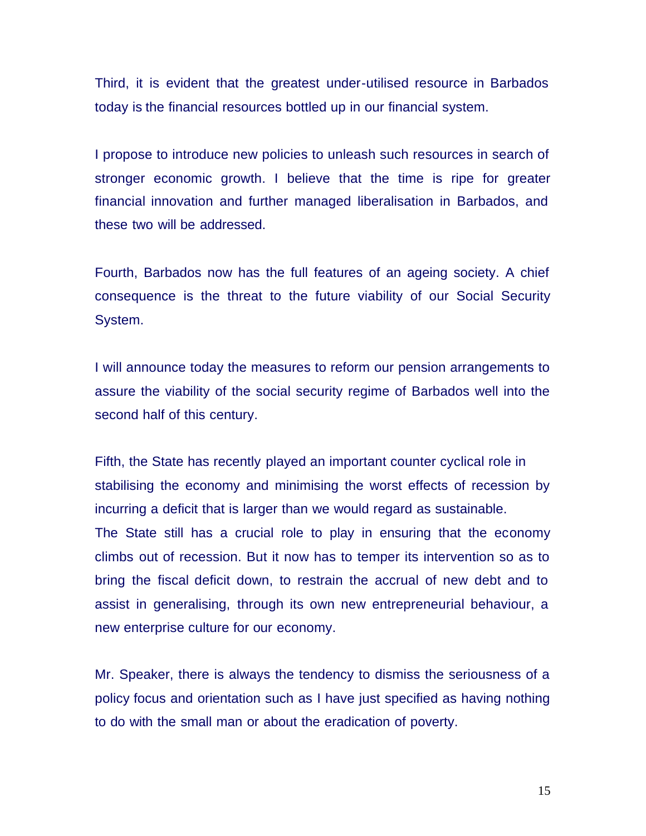Third, it is evident that the greatest under-utilised resource in Barbados today is the financial resources bottled up in our financial system.

I propose to introduce new policies to unleash such resources in search of stronger economic growth. I believe that the time is ripe for greater financial innovation and further managed liberalisation in Barbados, and these two will be addressed.

Fourth, Barbados now has the full features of an ageing society. A chief consequence is the threat to the future viability of our Social Security System.

I will announce today the measures to reform our pension arrangements to assure the viability of the social security regime of Barbados well into the second half of this century.

Fifth, the State has recently played an important counter cyclical role in stabilising the economy and minimising the worst effects of recession by incurring a deficit that is larger than we would regard as sustainable. The State still has a crucial role to play in ensuring that the economy climbs out of recession. But it now has to temper its intervention so as to bring the fiscal deficit down, to restrain the accrual of new debt and to assist in generalising, through its own new entrepreneurial behaviour, a new enterprise culture for our economy.

Mr. Speaker, there is always the tendency to dismiss the seriousness of a policy focus and orientation such as I have just specified as having nothing to do with the small man or about the eradication of poverty.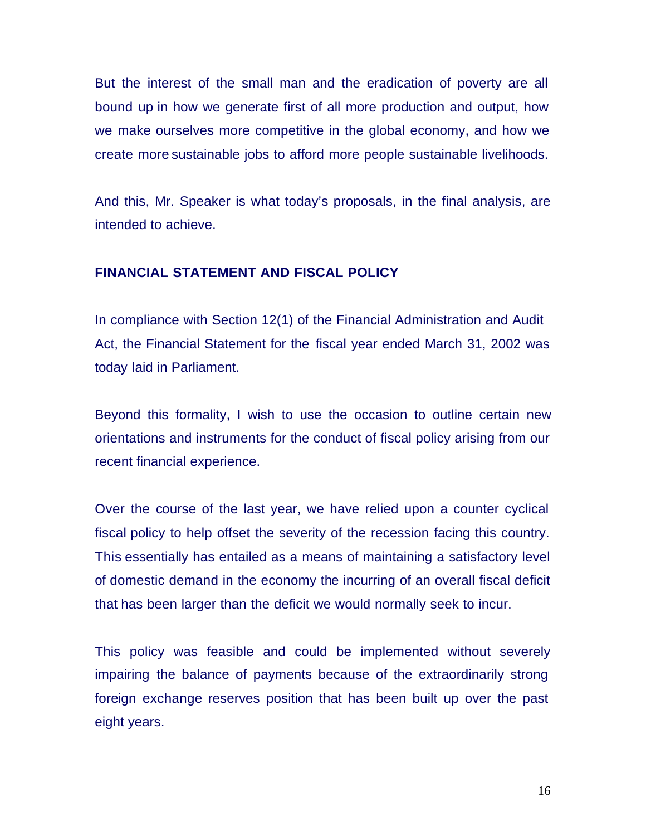But the interest of the small man and the eradication of poverty are all bound up in how we generate first of all more production and output, how we make ourselves more competitive in the global economy, and how we create more sustainable jobs to afford more people sustainable livelihoods.

And this, Mr. Speaker is what today's proposals, in the final analysis, are intended to achieve.

## **FINANCIAL STATEMENT AND FISCAL POLICY**

In compliance with Section 12(1) of the Financial Administration and Audit Act, the Financial Statement for the fiscal year ended March 31, 2002 was today laid in Parliament.

Beyond this formality, I wish to use the occasion to outline certain new orientations and instruments for the conduct of fiscal policy arising from our recent financial experience.

Over the course of the last year, we have relied upon a counter cyclical fiscal policy to help offset the severity of the recession facing this country. This essentially has entailed as a means of maintaining a satisfactory level of domestic demand in the economy the incurring of an overall fiscal deficit that has been larger than the deficit we would normally seek to incur.

This policy was feasible and could be implemented without severely impairing the balance of payments because of the extraordinarily strong foreign exchange reserves position that has been built up over the past eight years.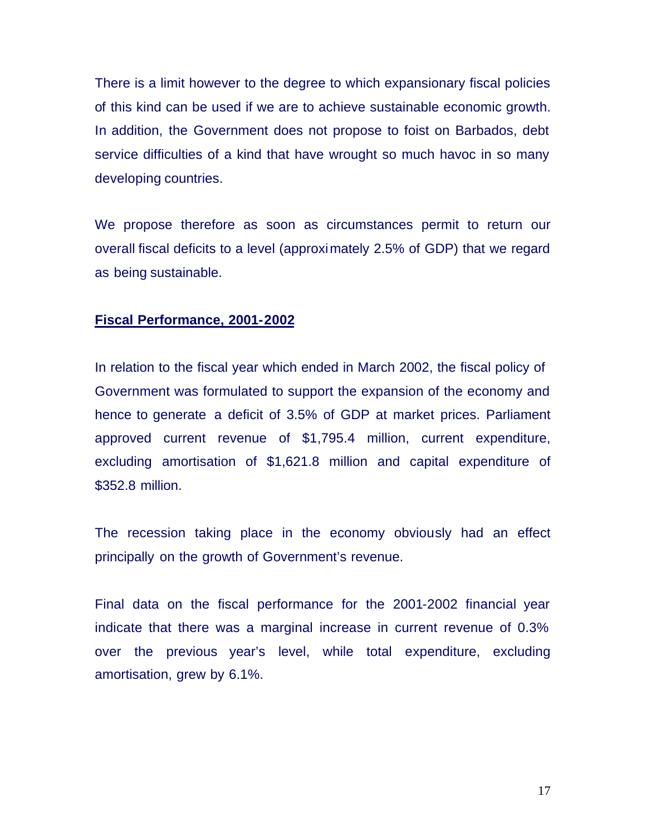There is a limit however to the degree to which expansionary fiscal policies of this kind can be used if we are to achieve sustainable economic growth. In addition, the Government does not propose to foist on Barbados, debt service difficulties of a kind that have wrought so much havoc in so many developing countries.

We propose therefore as soon as circumstances permit to return our overall fiscal deficits to a level (approximately 2.5% of GDP) that we regard as being sustainable.

### **Fiscal Performance, 2001-2002**

In relation to the fiscal year which ended in March 2002, the fiscal policy of Government was formulated to support the expansion of the economy and hence to generate a deficit of 3.5% of GDP at market prices. Parliament approved current revenue of \$1,795.4 million, current expenditure, excluding amortisation of \$1,621.8 million and capital expenditure of \$352.8 million.

The recession taking place in the economy obviously had an effect principally on the growth of Government's revenue.

Final data on the fiscal performance for the 2001-2002 financial year indicate that there was a marginal increase in current revenue of 0.3% over the previous year's level, while total expenditure, excluding amortisation, grew by 6.1%.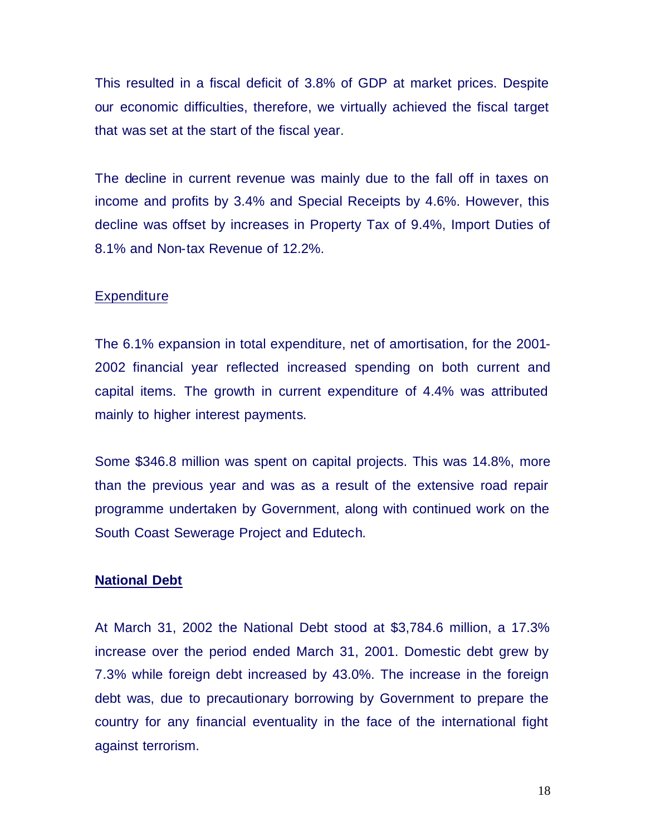This resulted in a fiscal deficit of 3.8% of GDP at market prices. Despite our economic difficulties, therefore, we virtually achieved the fiscal target that was set at the start of the fiscal year.

The decline in current revenue was mainly due to the fall off in taxes on income and profits by 3.4% and Special Receipts by 4.6%. However, this decline was offset by increases in Property Tax of 9.4%, Import Duties of 8.1% and Non-tax Revenue of 12.2%.

#### **Expenditure**

The 6.1% expansion in total expenditure, net of amortisation, for the 2001- 2002 financial year reflected increased spending on both current and capital items. The growth in current expenditure of 4.4% was attributed mainly to higher interest payments.

Some \$346.8 million was spent on capital projects. This was 14.8%, more than the previous year and was as a result of the extensive road repair programme undertaken by Government, along with continued work on the South Coast Sewerage Project and Edutech.

#### **National Debt**

At March 31, 2002 the National Debt stood at \$3,784.6 million, a 17.3% increase over the period ended March 31, 2001. Domestic debt grew by 7.3% while foreign debt increased by 43.0%. The increase in the foreign debt was, due to precautionary borrowing by Government to prepare the country for any financial eventuality in the face of the international fight against terrorism.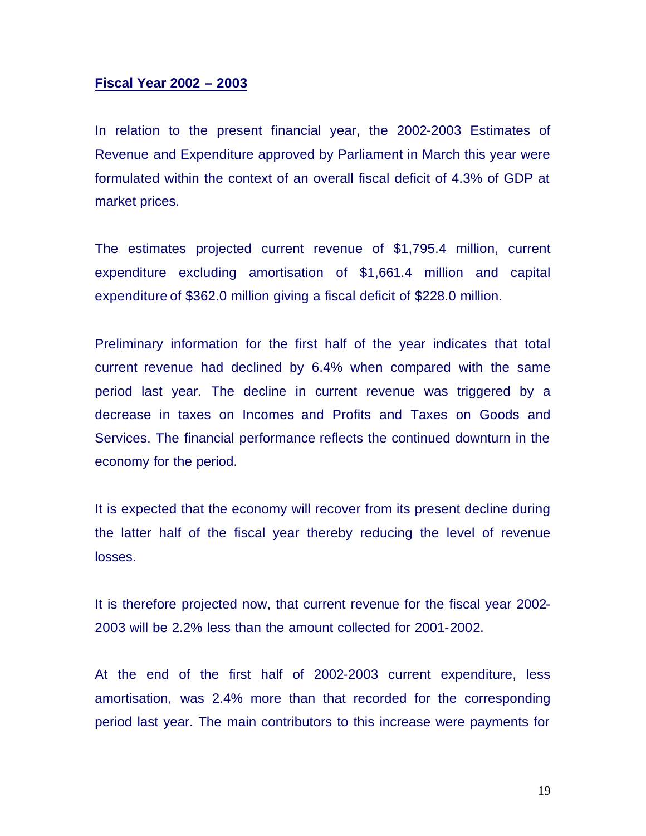#### **Fiscal Year 2002 – 2003**

In relation to the present financial year, the 2002-2003 Estimates of Revenue and Expenditure approved by Parliament in March this year were formulated within the context of an overall fiscal deficit of 4.3% of GDP at market prices.

The estimates projected current revenue of \$1,795.4 million, current expenditure excluding amortisation of \$1,661.4 million and capital expenditure of \$362.0 million giving a fiscal deficit of \$228.0 million.

Preliminary information for the first half of the year indicates that total current revenue had declined by 6.4% when compared with the same period last year. The decline in current revenue was triggered by a decrease in taxes on Incomes and Profits and Taxes on Goods and Services. The financial performance reflects the continued downturn in the economy for the period.

It is expected that the economy will recover from its present decline during the latter half of the fiscal year thereby reducing the level of revenue losses.

It is therefore projected now, that current revenue for the fiscal year 2002- 2003 will be 2.2% less than the amount collected for 2001-2002.

At the end of the first half of 2002-2003 current expenditure, less amortisation, was 2.4% more than that recorded for the corresponding period last year. The main contributors to this increase were payments for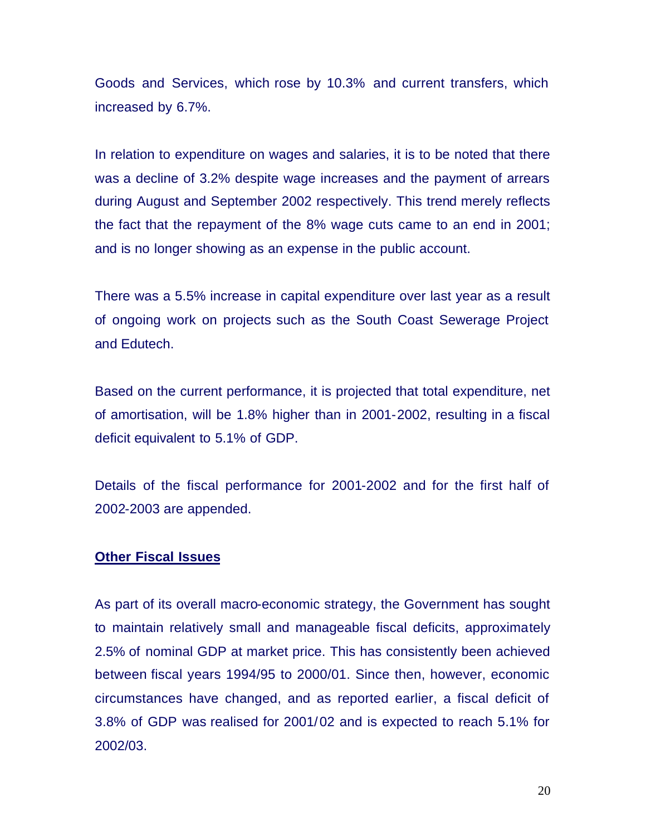Goods and Services, which rose by 10.3% and current transfers, which increased by 6.7%.

In relation to expenditure on wages and salaries, it is to be noted that there was a decline of 3.2% despite wage increases and the payment of arrears during August and September 2002 respectively. This trend merely reflects the fact that the repayment of the 8% wage cuts came to an end in 2001; and is no longer showing as an expense in the public account.

There was a 5.5% increase in capital expenditure over last year as a result of ongoing work on projects such as the South Coast Sewerage Project and Edutech.

Based on the current performance, it is projected that total expenditure, net of amortisation, will be 1.8% higher than in 2001-2002, resulting in a fiscal deficit equivalent to 5.1% of GDP.

Details of the fiscal performance for 2001-2002 and for the first half of 2002-2003 are appended.

#### **Other Fiscal Issues**

As part of its overall macro-economic strategy, the Government has sought to maintain relatively small and manageable fiscal deficits, approximately 2.5% of nominal GDP at market price. This has consistently been achieved between fiscal years 1994/95 to 2000/01. Since then, however, economic circumstances have changed, and as reported earlier, a fiscal deficit of 3.8% of GDP was realised for 2001/02 and is expected to reach 5.1% for 2002/03.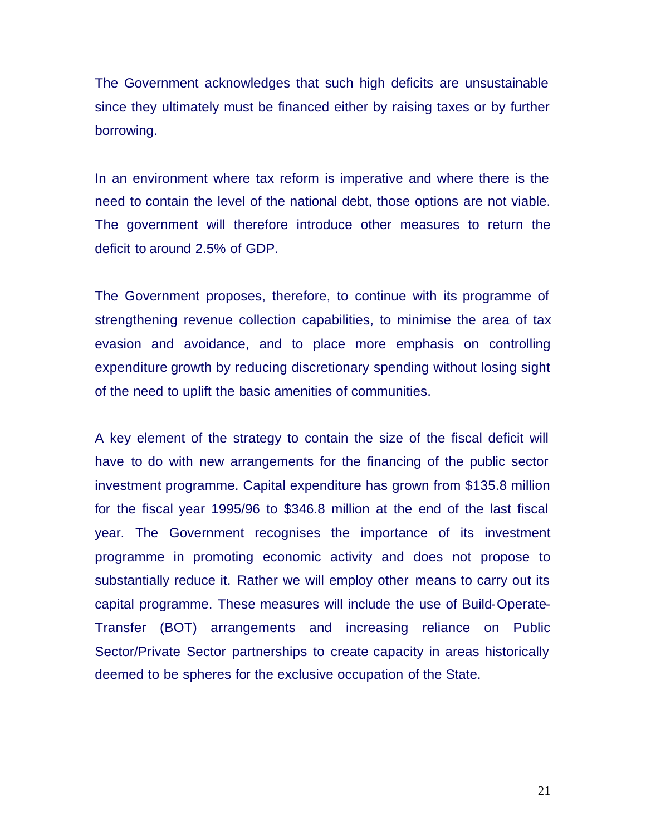The Government acknowledges that such high deficits are unsustainable since they ultimately must be financed either by raising taxes or by further borrowing.

In an environment where tax reform is imperative and where there is the need to contain the level of the national debt, those options are not viable. The government will therefore introduce other measures to return the deficit to around 2.5% of GDP.

The Government proposes, therefore, to continue with its programme of strengthening revenue collection capabilities, to minimise the area of tax evasion and avoidance, and to place more emphasis on controlling expenditure growth by reducing discretionary spending without losing sight of the need to uplift the basic amenities of communities.

A key element of the strategy to contain the size of the fiscal deficit will have to do with new arrangements for the financing of the public sector investment programme. Capital expenditure has grown from \$135.8 million for the fiscal year 1995/96 to \$346.8 million at the end of the last fiscal year. The Government recognises the importance of its investment programme in promoting economic activity and does not propose to substantially reduce it. Rather we will employ other means to carry out its capital programme. These measures will include the use of Build-Operate-Transfer (BOT) arrangements and increasing reliance on Public Sector/Private Sector partnerships to create capacity in areas historically deemed to be spheres for the exclusive occupation of the State.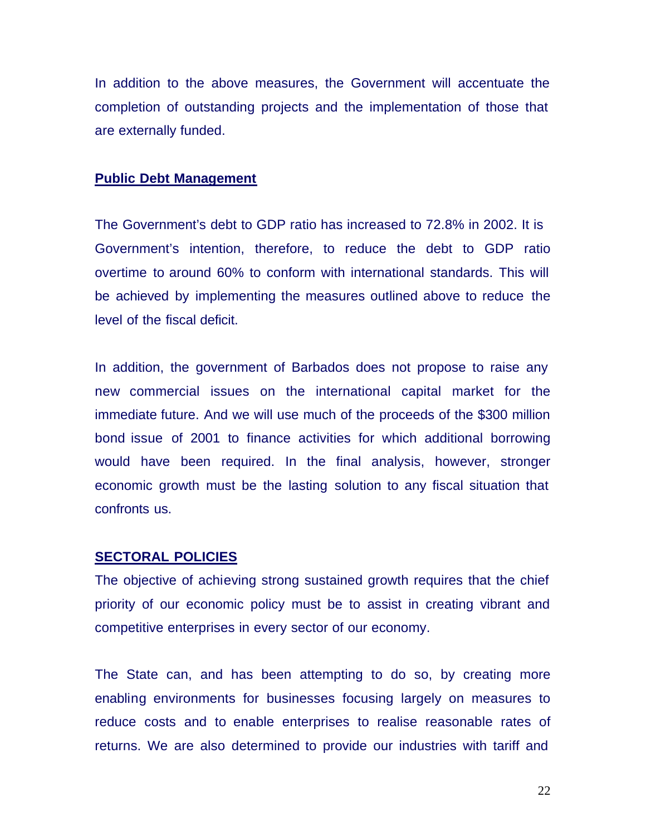In addition to the above measures, the Government will accentuate the completion of outstanding projects and the implementation of those that are externally funded.

#### **Public Debt Management**

The Government's debt to GDP ratio has increased to 72.8% in 2002. It is Government's intention, therefore, to reduce the debt to GDP ratio overtime to around 60% to conform with international standards. This will be achieved by implementing the measures outlined above to reduce the level of the fiscal deficit.

In addition, the government of Barbados does not propose to raise any new commercial issues on the international capital market for the immediate future. And we will use much of the proceeds of the \$300 million bond issue of 2001 to finance activities for which additional borrowing would have been required. In the final analysis, however, stronger economic growth must be the lasting solution to any fiscal situation that confronts us.

#### **SECTORAL POLICIES**

The objective of achieving strong sustained growth requires that the chief priority of our economic policy must be to assist in creating vibrant and competitive enterprises in every sector of our economy.

The State can, and has been attempting to do so, by creating more enabling environments for businesses focusing largely on measures to reduce costs and to enable enterprises to realise reasonable rates of returns. We are also determined to provide our industries with tariff and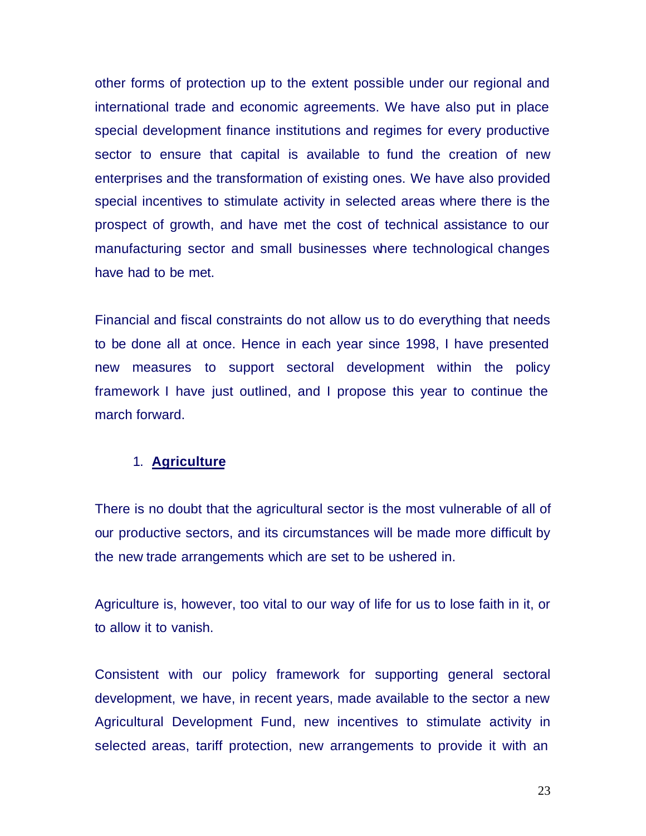other forms of protection up to the extent possible under our regional and international trade and economic agreements. We have also put in place special development finance institutions and regimes for every productive sector to ensure that capital is available to fund the creation of new enterprises and the transformation of existing ones. We have also provided special incentives to stimulate activity in selected areas where there is the prospect of growth, and have met the cost of technical assistance to our manufacturing sector and small businesses where technological changes have had to be met.

Financial and fiscal constraints do not allow us to do everything that needs to be done all at once. Hence in each year since 1998, I have presented new measures to support sectoral development within the policy framework I have just outlined, and I propose this year to continue the march forward.

#### 1. **Agriculture**

There is no doubt that the agricultural sector is the most vulnerable of all of our productive sectors, and its circumstances will be made more difficult by the new trade arrangements which are set to be ushered in.

Agriculture is, however, too vital to our way of life for us to lose faith in it, or to allow it to vanish.

Consistent with our policy framework for supporting general sectoral development, we have, in recent years, made available to the sector a new Agricultural Development Fund, new incentives to stimulate activity in selected areas, tariff protection, new arrangements to provide it with an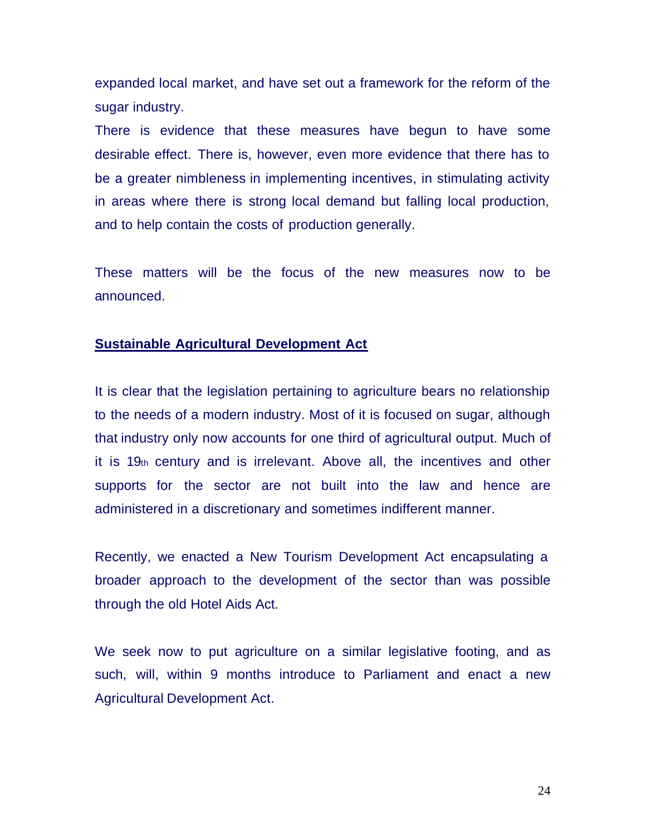expanded local market, and have set out a framework for the reform of the sugar industry.

There is evidence that these measures have begun to have some desirable effect. There is, however, even more evidence that there has to be a greater nimbleness in implementing incentives, in stimulating activity in areas where there is strong local demand but falling local production, and to help contain the costs of production generally.

These matters will be the focus of the new measures now to be announced.

# **Sustainable Agricultural Development Act**

It is clear that the legislation pertaining to agriculture bears no relationship to the needs of a modern industry. Most of it is focused on sugar, although that industry only now accounts for one third of agricultural output. Much of it is 19th century and is irrelevant. Above all, the incentives and other supports for the sector are not built into the law and hence are administered in a discretionary and sometimes indifferent manner.

Recently, we enacted a New Tourism Development Act encapsulating a broader approach to the development of the sector than was possible through the old Hotel Aids Act.

We seek now to put agriculture on a similar legislative footing, and as such, will, within 9 months introduce to Parliament and enact a new Agricultural Development Act.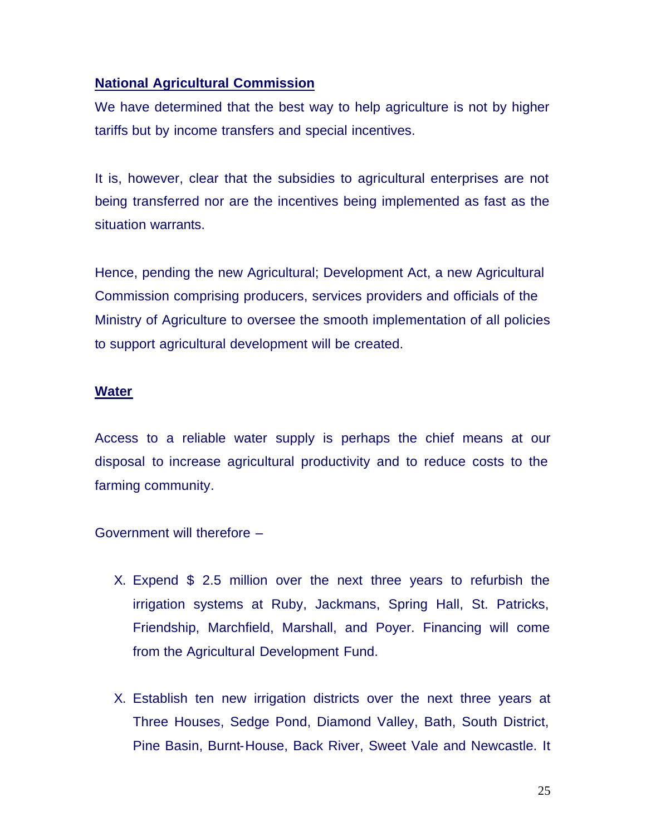# **National Agricultural Commission**

We have determined that the best way to help agriculture is not by higher tariffs but by income transfers and special incentives.

It is, however, clear that the subsidies to agricultural enterprises are not being transferred nor are the incentives being implemented as fast as the situation warrants.

Hence, pending the new Agricultural; Development Act, a new Agricultural Commission comprising producers, services providers and officials of the Ministry of Agriculture to oversee the smooth implementation of all policies to support agricultural development will be created.

## **Water**

Access to a reliable water supply is perhaps the chief means at our disposal to increase agricultural productivity and to reduce costs to the farming community.

## Government will therefore –

- X. Expend \$ 2.5 million over the next three years to refurbish the irrigation systems at Ruby, Jackmans, Spring Hall, St. Patricks, Friendship, Marchfield, Marshall, and Poyer. Financing will come from the Agricultural Development Fund.
- X. Establish ten new irrigation districts over the next three years at Three Houses, Sedge Pond, Diamond Valley, Bath, South District, Pine Basin, Burnt-House, Back River, Sweet Vale and Newcastle. It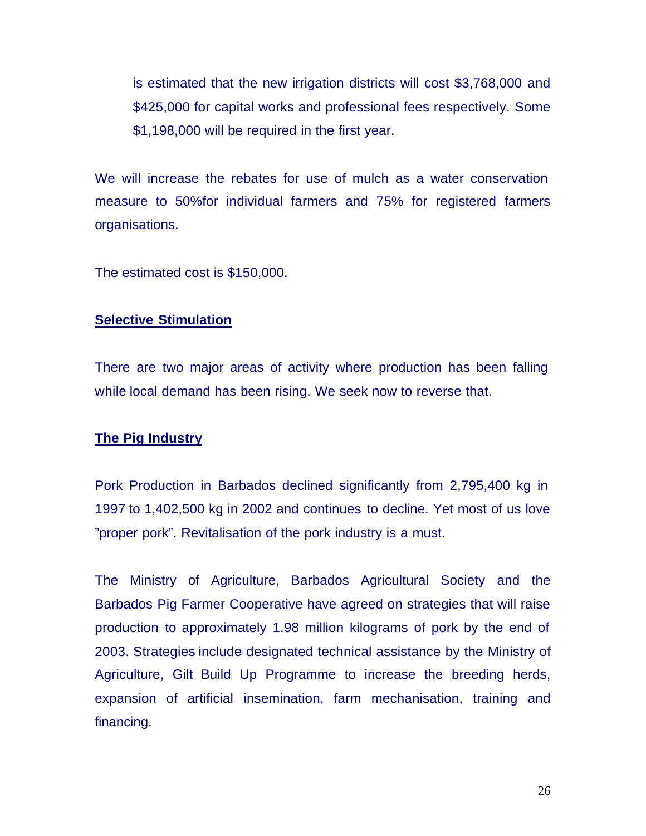is estimated that the new irrigation districts will cost \$3,768,000 and \$425,000 for capital works and professional fees respectively. Some \$1,198,000 will be required in the first year.

We will increase the rebates for use of mulch as a water conservation measure to 50%for individual farmers and 75% for registered farmers organisations.

The estimated cost is \$150,000.

# **Selective Stimulation**

There are two major areas of activity where production has been falling while local demand has been rising. We seek now to reverse that.

# **The Pig Industry**

Pork Production in Barbados declined significantly from 2,795,400 kg in 1997 to 1,402,500 kg in 2002 and continues to decline. Yet most of us love "proper pork". Revitalisation of the pork industry is a must.

The Ministry of Agriculture, Barbados Agricultural Society and the Barbados Pig Farmer Cooperative have agreed on strategies that will raise production to approximately 1.98 million kilograms of pork by the end of 2003. Strategies include designated technical assistance by the Ministry of Agriculture, Gilt Build Up Programme to increase the breeding herds, expansion of artificial insemination, farm mechanisation, training and financing.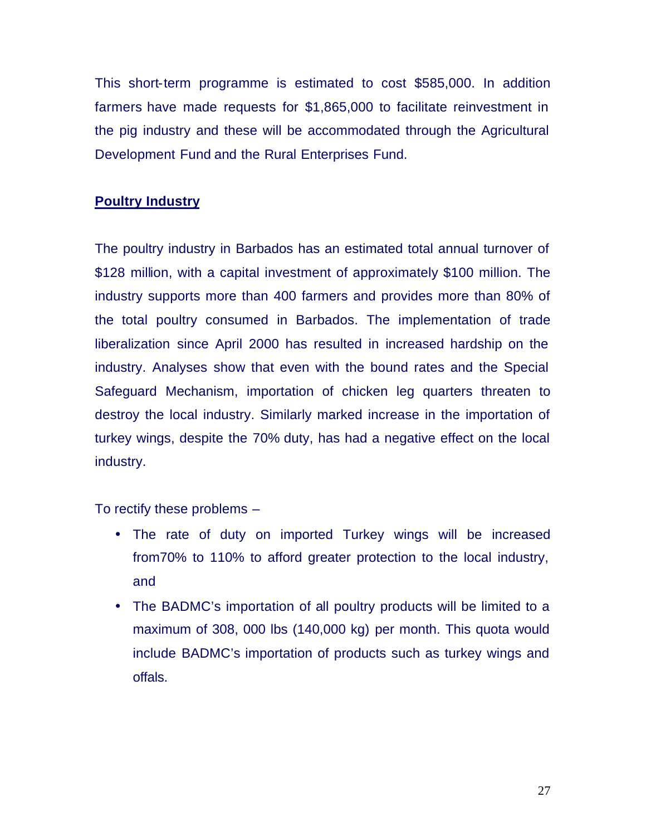This short-term programme is estimated to cost \$585,000. In addition farmers have made requests for \$1,865,000 to facilitate reinvestment in the pig industry and these will be accommodated through the Agricultural Development Fund and the Rural Enterprises Fund.

# **Poultry Industry**

The poultry industry in Barbados has an estimated total annual turnover of \$128 million, with a capital investment of approximately \$100 million. The industry supports more than 400 farmers and provides more than 80% of the total poultry consumed in Barbados. The implementation of trade liberalization since April 2000 has resulted in increased hardship on the industry. Analyses show that even with the bound rates and the Special Safeguard Mechanism, importation of chicken leg quarters threaten to destroy the local industry. Similarly marked increase in the importation of turkey wings, despite the 70% duty, has had a negative effect on the local industry.

To rectify these problems –

- The rate of duty on imported Turkey wings will be increased from70% to 110% to afford greater protection to the local industry, and
- The BADMC's importation of all poultry products will be limited to a maximum of 308, 000 lbs (140,000 kg) per month. This quota would include BADMC's importation of products such as turkey wings and offals.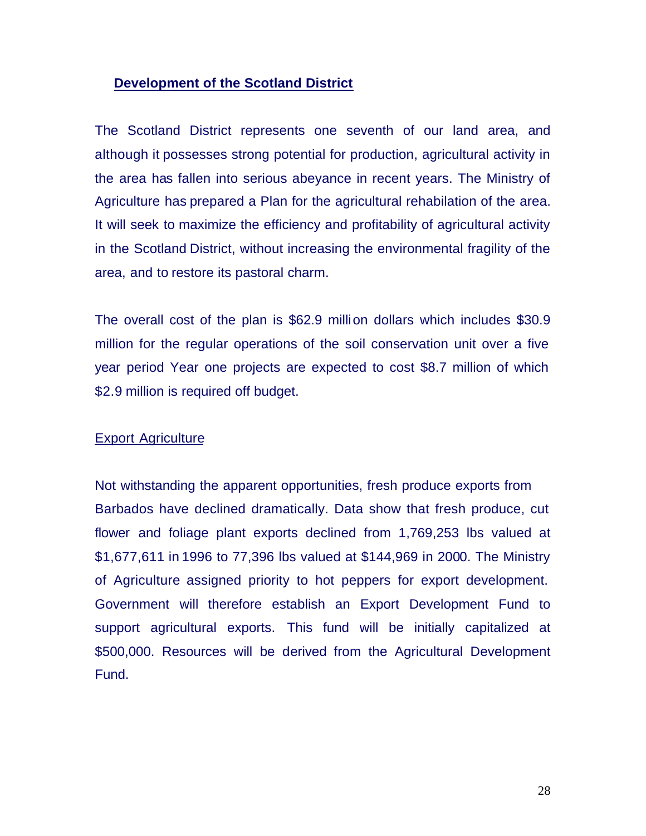# **Development of the Scotland District**

The Scotland District represents one seventh of our land area, and although it possesses strong potential for production, agricultural activity in the area has fallen into serious abeyance in recent years. The Ministry of Agriculture has prepared a Plan for the agricultural rehabilation of the area. It will seek to maximize the efficiency and profitability of agricultural activity in the Scotland District, without increasing the environmental fragility of the area, and to restore its pastoral charm.

The overall cost of the plan is \$62.9 million dollars which includes \$30.9 million for the regular operations of the soil conservation unit over a five year period Year one projects are expected to cost \$8.7 million of which \$2.9 million is required off budget.

## Export Agriculture

Not withstanding the apparent opportunities, fresh produce exports from Barbados have declined dramatically. Data show that fresh produce, cut flower and foliage plant exports declined from 1,769,253 lbs valued at \$1,677,611 in 1996 to 77,396 lbs valued at \$144,969 in 2000. The Ministry of Agriculture assigned priority to hot peppers for export development. Government will therefore establish an Export Development Fund to support agricultural exports. This fund will be initially capitalized at \$500,000. Resources will be derived from the Agricultural Development Fund.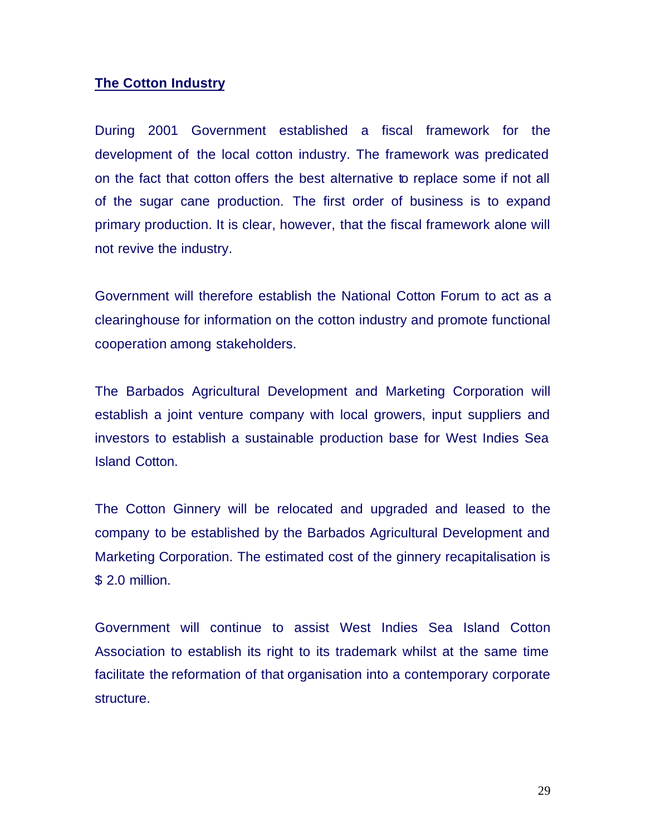# **The Cotton Industry**

During 2001 Government established a fiscal framework for the development of the local cotton industry. The framework was predicated on the fact that cotton offers the best alternative to replace some if not all of the sugar cane production. The first order of business is to expand primary production. It is clear, however, that the fiscal framework alone will not revive the industry.

Government will therefore establish the National Cotton Forum to act as a clearinghouse for information on the cotton industry and promote functional cooperation among stakeholders.

The Barbados Agricultural Development and Marketing Corporation will establish a joint venture company with local growers, input suppliers and investors to establish a sustainable production base for West Indies Sea Island Cotton.

The Cotton Ginnery will be relocated and upgraded and leased to the company to be established by the Barbados Agricultural Development and Marketing Corporation. The estimated cost of the ginnery recapitalisation is \$ 2.0 million.

Government will continue to assist West Indies Sea Island Cotton Association to establish its right to its trademark whilst at the same time facilitate the reformation of that organisation into a contemporary corporate structure.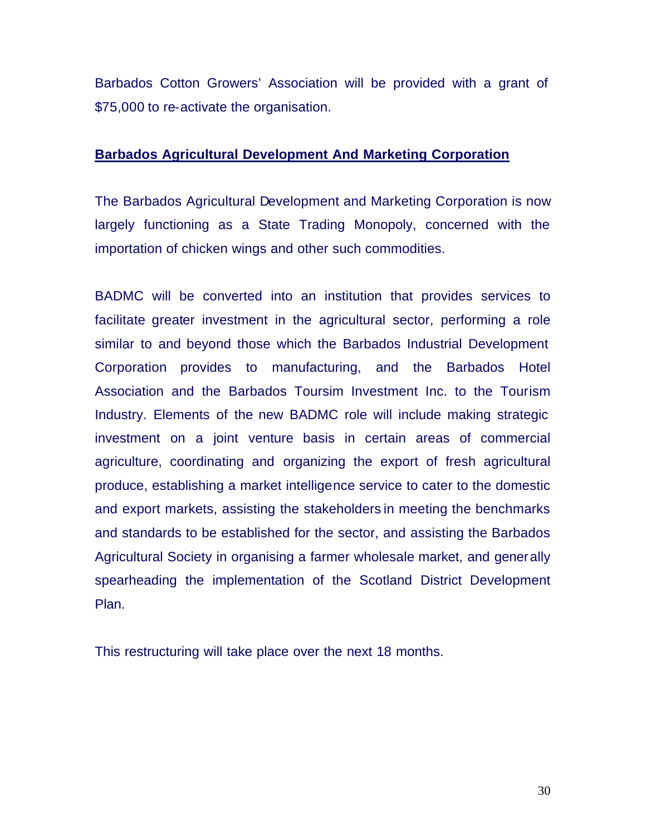Barbados Cotton Growers' Association will be provided with a grant of \$75,000 to re-activate the organisation.

# **Barbados Agricultural Development And Marketing Corporation**

The Barbados Agricultural Development and Marketing Corporation is now largely functioning as a State Trading Monopoly, concerned with the importation of chicken wings and other such commodities.

BADMC will be converted into an institution that provides services to facilitate greater investment in the agricultural sector, performing a role similar to and beyond those which the Barbados Industrial Development Corporation provides to manufacturing, and the Barbados Hotel Association and the Barbados Toursim Investment Inc. to the Tourism Industry. Elements of the new BADMC role will include making strategic investment on a joint venture basis in certain areas of commercial agriculture, coordinating and organizing the export of fresh agricultural produce, establishing a market intelligence service to cater to the domestic and export markets, assisting the stakeholders in meeting the benchmarks and standards to be established for the sector, and assisting the Barbados Agricultural Society in organising a farmer wholesale market, and generally spearheading the implementation of the Scotland District Development Plan.

This restructuring will take place over the next 18 months.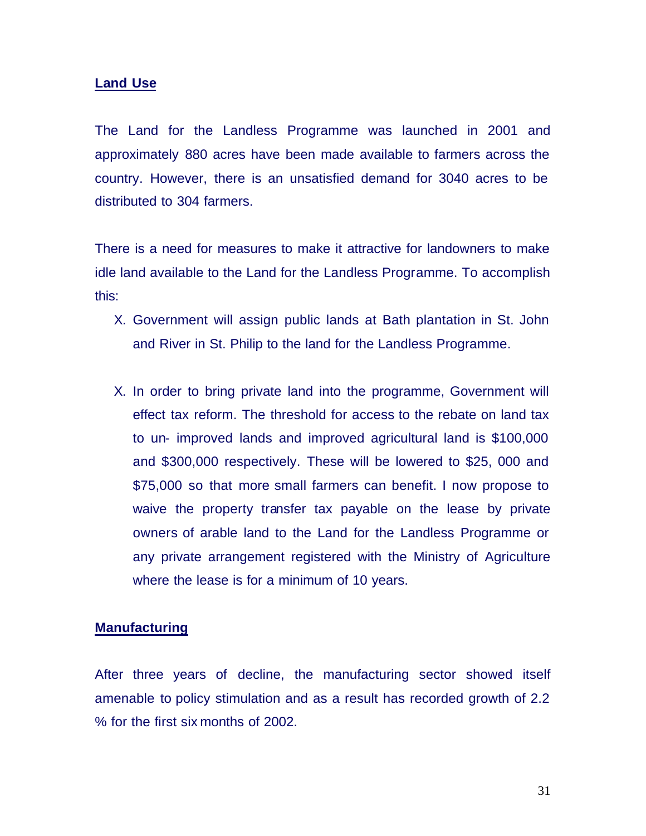#### **Land Use**

The Land for the Landless Programme was launched in 2001 and approximately 880 acres have been made available to farmers across the country. However, there is an unsatisfied demand for 3040 acres to be distributed to 304 farmers.

There is a need for measures to make it attractive for landowners to make idle land available to the Land for the Landless Programme. To accomplish this:

- X. Government will assign public lands at Bath plantation in St. John and River in St. Philip to the land for the Landless Programme.
- X. In order to bring private land into the programme, Government will effect tax reform. The threshold for access to the rebate on land tax to un- improved lands and improved agricultural land is \$100,000 and \$300,000 respectively. These will be lowered to \$25, 000 and \$75,000 so that more small farmers can benefit. I now propose to waive the property transfer tax payable on the lease by private owners of arable land to the Land for the Landless Programme or any private arrangement registered with the Ministry of Agriculture where the lease is for a minimum of 10 years.

#### **Manufacturing**

After three years of decline, the manufacturing sector showed itself amenable to policy stimulation and as a result has recorded growth of 2.2 % for the first six months of 2002.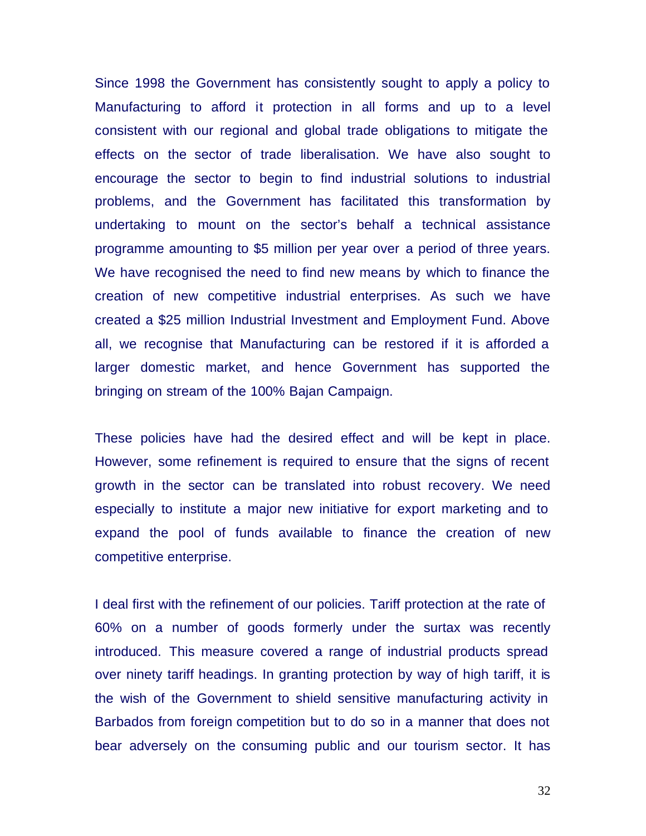Since 1998 the Government has consistently sought to apply a policy to Manufacturing to afford it protection in all forms and up to a level consistent with our regional and global trade obligations to mitigate the effects on the sector of trade liberalisation. We have also sought to encourage the sector to begin to find industrial solutions to industrial problems, and the Government has facilitated this transformation by undertaking to mount on the sector's behalf a technical assistance programme amounting to \$5 million per year over a period of three years. We have recognised the need to find new means by which to finance the creation of new competitive industrial enterprises. As such we have created a \$25 million Industrial Investment and Employment Fund. Above all, we recognise that Manufacturing can be restored if it is afforded a larger domestic market, and hence Government has supported the bringing on stream of the 100% Bajan Campaign.

These policies have had the desired effect and will be kept in place. However, some refinement is required to ensure that the signs of recent growth in the sector can be translated into robust recovery. We need especially to institute a major new initiative for export marketing and to expand the pool of funds available to finance the creation of new competitive enterprise.

I deal first with the refinement of our policies. Tariff protection at the rate of 60% on a number of goods formerly under the surtax was recently introduced. This measure covered a range of industrial products spread over ninety tariff headings. In granting protection by way of high tariff, it is the wish of the Government to shield sensitive manufacturing activity in Barbados from foreign competition but to do so in a manner that does not bear adversely on the consuming public and our tourism sector. It has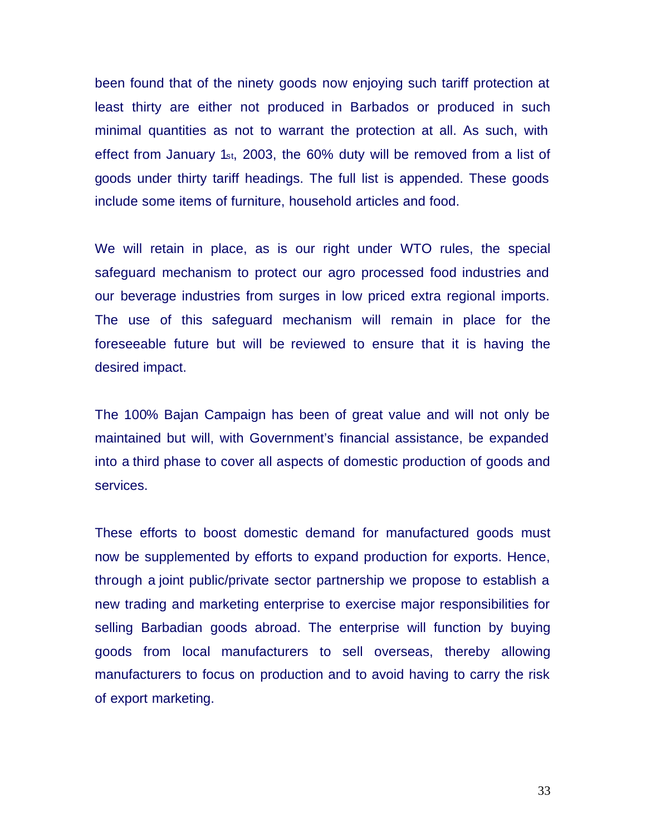been found that of the ninety goods now enjoying such tariff protection at least thirty are either not produced in Barbados or produced in such minimal quantities as not to warrant the protection at all. As such, with effect from January 1st, 2003, the 60% duty will be removed from a list of goods under thirty tariff headings. The full list is appended. These goods include some items of furniture, household articles and food.

We will retain in place, as is our right under WTO rules, the special safeguard mechanism to protect our agro processed food industries and our beverage industries from surges in low priced extra regional imports. The use of this safeguard mechanism will remain in place for the foreseeable future but will be reviewed to ensure that it is having the desired impact.

The 100% Bajan Campaign has been of great value and will not only be maintained but will, with Government's financial assistance, be expanded into a third phase to cover all aspects of domestic production of goods and services.

These efforts to boost domestic demand for manufactured goods must now be supplemented by efforts to expand production for exports. Hence, through a joint public/private sector partnership we propose to establish a new trading and marketing enterprise to exercise major responsibilities for selling Barbadian goods abroad. The enterprise will function by buying goods from local manufacturers to sell overseas, thereby allowing manufacturers to focus on production and to avoid having to carry the risk of export marketing.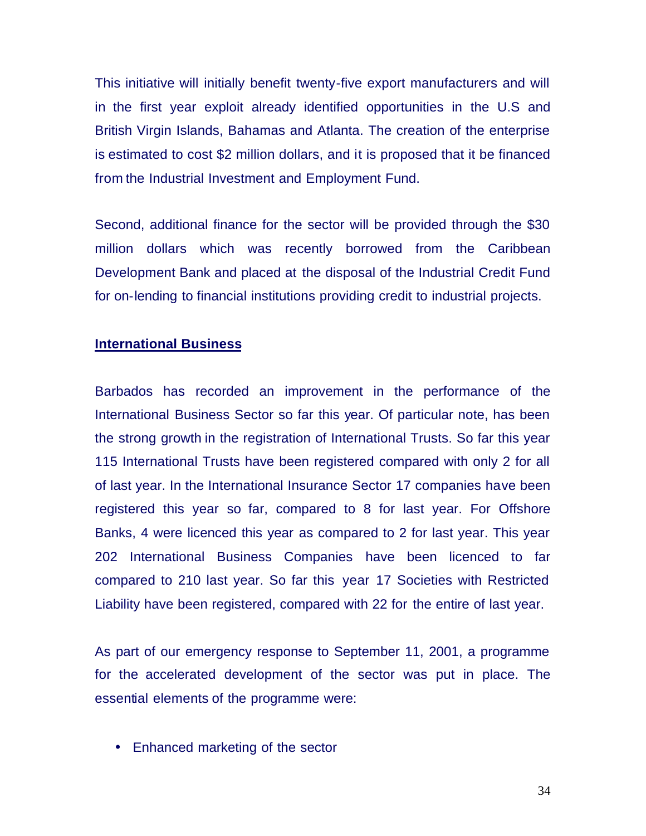This initiative will initially benefit twenty-five export manufacturers and will in the first year exploit already identified opportunities in the U.S and British Virgin Islands, Bahamas and Atlanta. The creation of the enterprise is estimated to cost \$2 million dollars, and it is proposed that it be financed from the Industrial Investment and Employment Fund.

Second, additional finance for the sector will be provided through the \$30 million dollars which was recently borrowed from the Caribbean Development Bank and placed at the disposal of the Industrial Credit Fund for on-lending to financial institutions providing credit to industrial projects.

#### **International Business**

Barbados has recorded an improvement in the performance of the International Business Sector so far this year. Of particular note, has been the strong growth in the registration of International Trusts. So far this year 115 International Trusts have been registered compared with only 2 for all of last year. In the International Insurance Sector 17 companies have been registered this year so far, compared to 8 for last year. For Offshore Banks, 4 were licenced this year as compared to 2 for last year. This year 202 International Business Companies have been licenced to far compared to 210 last year. So far this year 17 Societies with Restricted Liability have been registered, compared with 22 for the entire of last year.

As part of our emergency response to September 11, 2001, a programme for the accelerated development of the sector was put in place. The essential elements of the programme were:

• Enhanced marketing of the sector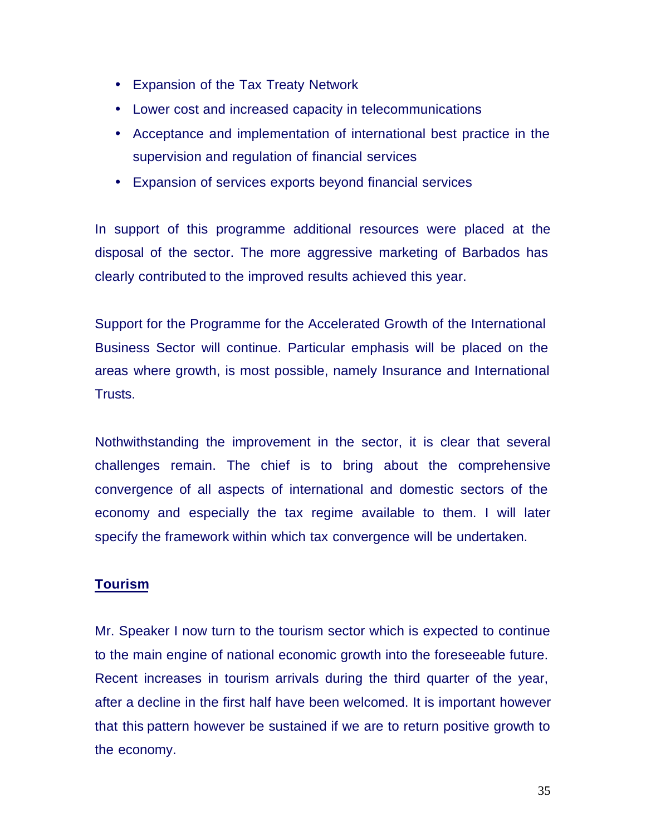- Expansion of the Tax Treaty Network
- Lower cost and increased capacity in telecommunications
- Acceptance and implementation of international best practice in the supervision and regulation of financial services
- Expansion of services exports beyond financial services

In support of this programme additional resources were placed at the disposal of the sector. The more aggressive marketing of Barbados has clearly contributed to the improved results achieved this year.

Support for the Programme for the Accelerated Growth of the International Business Sector will continue. Particular emphasis will be placed on the areas where growth, is most possible, namely Insurance and International Trusts.

Nothwithstanding the improvement in the sector, it is clear that several challenges remain. The chief is to bring about the comprehensive convergence of all aspects of international and domestic sectors of the economy and especially the tax regime available to them. I will later specify the framework within which tax convergence will be undertaken.

# **Tourism**

Mr. Speaker I now turn to the tourism sector which is expected to continue to the main engine of national economic growth into the foreseeable future. Recent increases in tourism arrivals during the third quarter of the year, after a decline in the first half have been welcomed. It is important however that this pattern however be sustained if we are to return positive growth to the economy.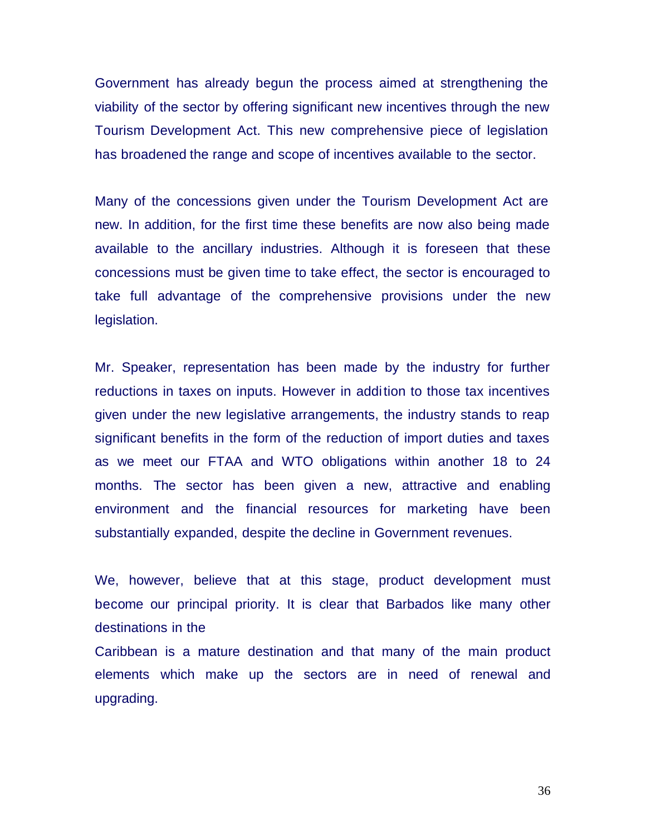Government has already begun the process aimed at strengthening the viability of the sector by offering significant new incentives through the new Tourism Development Act. This new comprehensive piece of legislation has broadened the range and scope of incentives available to the sector.

Many of the concessions given under the Tourism Development Act are new. In addition, for the first time these benefits are now also being made available to the ancillary industries. Although it is foreseen that these concessions must be given time to take effect, the sector is encouraged to take full advantage of the comprehensive provisions under the new legislation.

Mr. Speaker, representation has been made by the industry for further reductions in taxes on inputs. However in addition to those tax incentives given under the new legislative arrangements, the industry stands to reap significant benefits in the form of the reduction of import duties and taxes as we meet our FTAA and WTO obligations within another 18 to 24 months. The sector has been given a new, attractive and enabling environment and the financial resources for marketing have been substantially expanded, despite the decline in Government revenues.

We, however, believe that at this stage, product development must become our principal priority. It is clear that Barbados like many other destinations in the

Caribbean is a mature destination and that many of the main product elements which make up the sectors are in need of renewal and upgrading.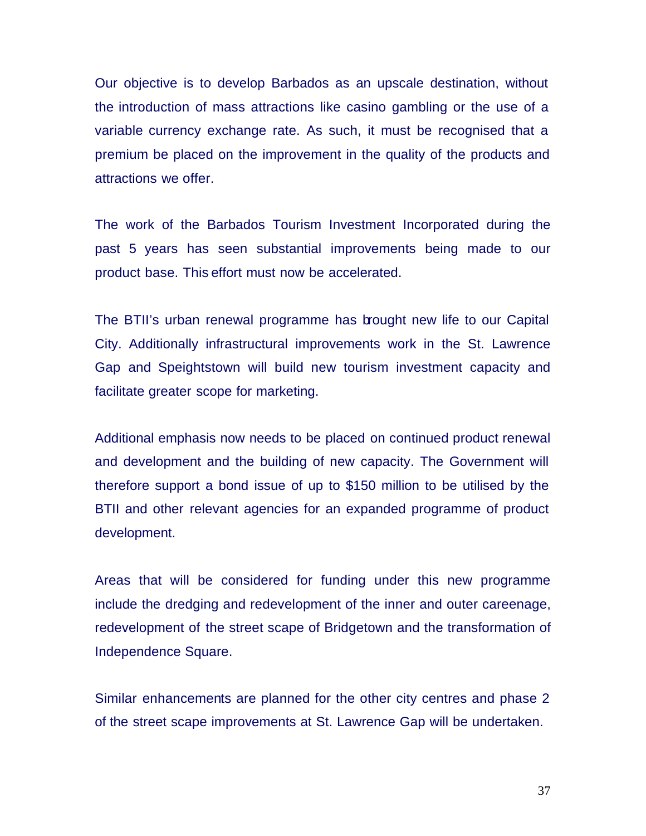Our objective is to develop Barbados as an upscale destination, without the introduction of mass attractions like casino gambling or the use of a variable currency exchange rate. As such, it must be recognised that a premium be placed on the improvement in the quality of the products and attractions we offer.

The work of the Barbados Tourism Investment Incorporated during the past 5 years has seen substantial improvements being made to our product base. This effort must now be accelerated.

The BTII's urban renewal programme has brought new life to our Capital City. Additionally infrastructural improvements work in the St. Lawrence Gap and Speightstown will build new tourism investment capacity and facilitate greater scope for marketing.

Additional emphasis now needs to be placed on continued product renewal and development and the building of new capacity. The Government will therefore support a bond issue of up to \$150 million to be utilised by the BTII and other relevant agencies for an expanded programme of product development.

Areas that will be considered for funding under this new programme include the dredging and redevelopment of the inner and outer careenage, redevelopment of the street scape of Bridgetown and the transformation of Independence Square.

Similar enhancements are planned for the other city centres and phase 2 of the street scape improvements at St. Lawrence Gap will be undertaken.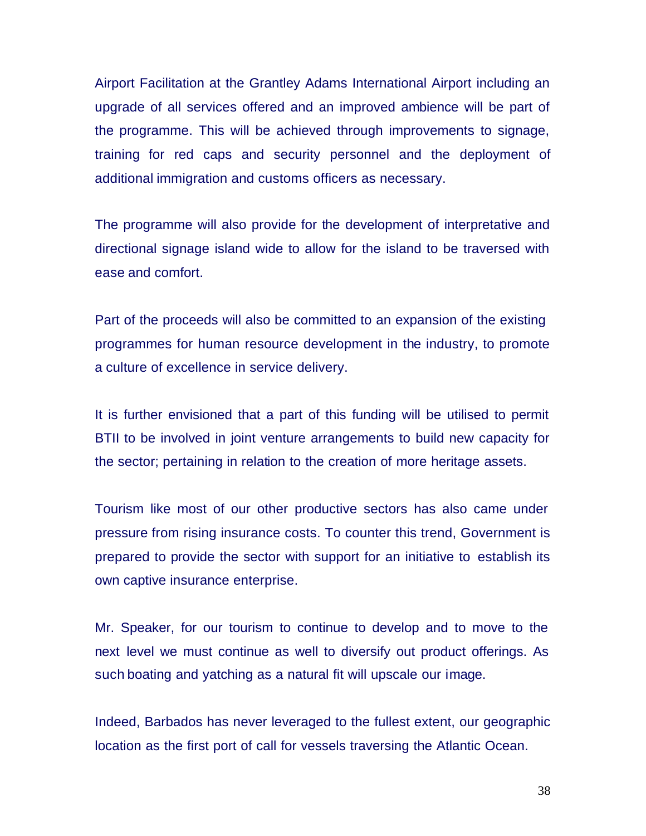Airport Facilitation at the Grantley Adams International Airport including an upgrade of all services offered and an improved ambience will be part of the programme. This will be achieved through improvements to signage, training for red caps and security personnel and the deployment of additional immigration and customs officers as necessary.

The programme will also provide for the development of interpretative and directional signage island wide to allow for the island to be traversed with ease and comfort.

Part of the proceeds will also be committed to an expansion of the existing programmes for human resource development in the industry, to promote a culture of excellence in service delivery.

It is further envisioned that a part of this funding will be utilised to permit BTII to be involved in joint venture arrangements to build new capacity for the sector; pertaining in relation to the creation of more heritage assets.

Tourism like most of our other productive sectors has also came under pressure from rising insurance costs. To counter this trend, Government is prepared to provide the sector with support for an initiative to establish its own captive insurance enterprise.

Mr. Speaker, for our tourism to continue to develop and to move to the next level we must continue as well to diversify out product offerings. As such boating and yatching as a natural fit will upscale our image.

Indeed, Barbados has never leveraged to the fullest extent, our geographic location as the first port of call for vessels traversing the Atlantic Ocean.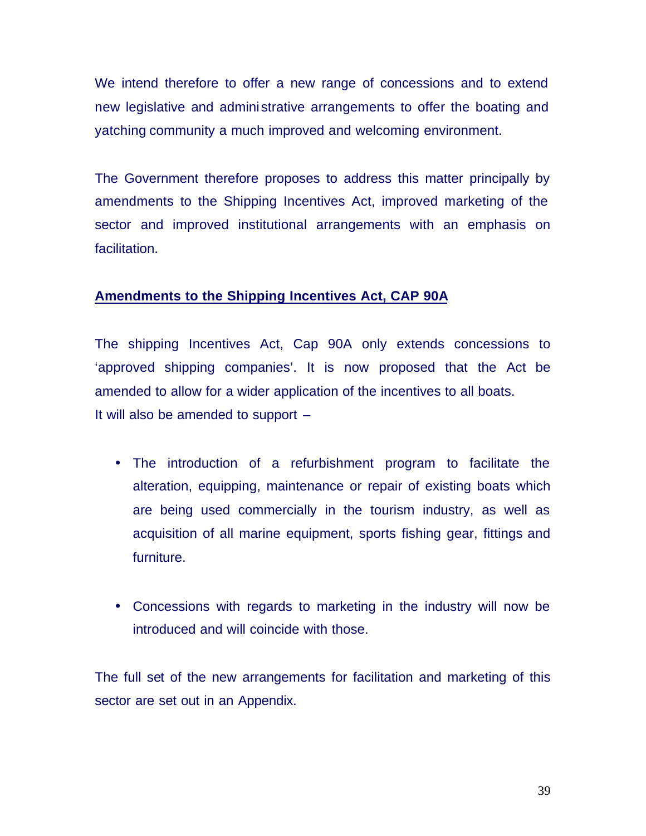We intend therefore to offer a new range of concessions and to extend new legislative and administrative arrangements to offer the boating and yatching community a much improved and welcoming environment.

The Government therefore proposes to address this matter principally by amendments to the Shipping Incentives Act, improved marketing of the sector and improved institutional arrangements with an emphasis on facilitation.

# **Amendments to the Shipping Incentives Act, CAP 90A**

The shipping Incentives Act, Cap 90A only extends concessions to 'approved shipping companies'. It is now proposed that the Act be amended to allow for a wider application of the incentives to all boats. It will also be amended to support  $-$ 

- The introduction of a refurbishment program to facilitate the alteration, equipping, maintenance or repair of existing boats which are being used commercially in the tourism industry, as well as acquisition of all marine equipment, sports fishing gear, fittings and furniture.
- Concessions with regards to marketing in the industry will now be introduced and will coincide with those.

The full set of the new arrangements for facilitation and marketing of this sector are set out in an Appendix.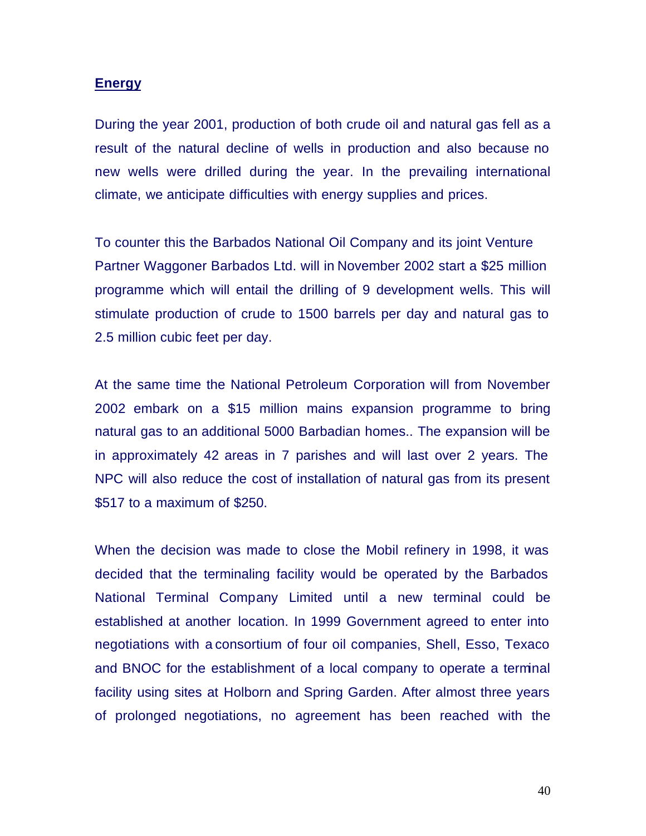#### **Energy**

During the year 2001, production of both crude oil and natural gas fell as a result of the natural decline of wells in production and also because no new wells were drilled during the year. In the prevailing international climate, we anticipate difficulties with energy supplies and prices.

To counter this the Barbados National Oil Company and its joint Venture Partner Waggoner Barbados Ltd. will in November 2002 start a \$25 million programme which will entail the drilling of 9 development wells. This will stimulate production of crude to 1500 barrels per day and natural gas to 2.5 million cubic feet per day.

At the same time the National Petroleum Corporation will from November 2002 embark on a \$15 million mains expansion programme to bring natural gas to an additional 5000 Barbadian homes.. The expansion will be in approximately 42 areas in 7 parishes and will last over 2 years. The NPC will also reduce the cost of installation of natural gas from its present \$517 to a maximum of \$250.

When the decision was made to close the Mobil refinery in 1998, it was decided that the terminaling facility would be operated by the Barbados National Terminal Company Limited until a new terminal could be established at another location. In 1999 Government agreed to enter into negotiations with a consortium of four oil companies, Shell, Esso, Texaco and BNOC for the establishment of a local company to operate a terminal facility using sites at Holborn and Spring Garden. After almost three years of prolonged negotiations, no agreement has been reached with the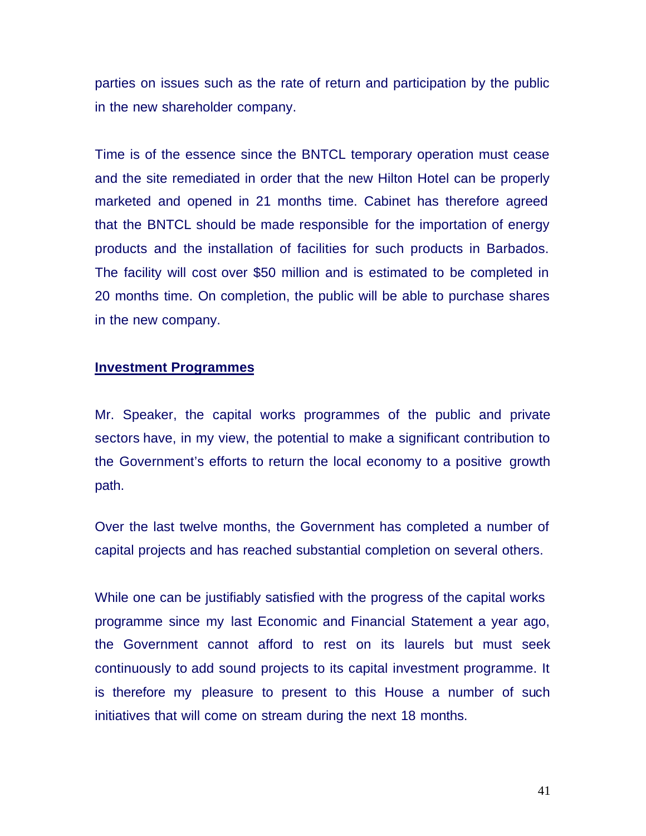parties on issues such as the rate of return and participation by the public in the new shareholder company.

Time is of the essence since the BNTCL temporary operation must cease and the site remediated in order that the new Hilton Hotel can be properly marketed and opened in 21 months time. Cabinet has therefore agreed that the BNTCL should be made responsible for the importation of energy products and the installation of facilities for such products in Barbados. The facility will cost over \$50 million and is estimated to be completed in 20 months time. On completion, the public will be able to purchase shares in the new company.

## **Investment Programmes**

Mr. Speaker, the capital works programmes of the public and private sectors have, in my view, the potential to make a significant contribution to the Government's efforts to return the local economy to a positive growth path.

Over the last twelve months, the Government has completed a number of capital projects and has reached substantial completion on several others.

While one can be justifiably satisfied with the progress of the capital works programme since my last Economic and Financial Statement a year ago, the Government cannot afford to rest on its laurels but must seek continuously to add sound projects to its capital investment programme. It is therefore my pleasure to present to this House a number of such initiatives that will come on stream during the next 18 months.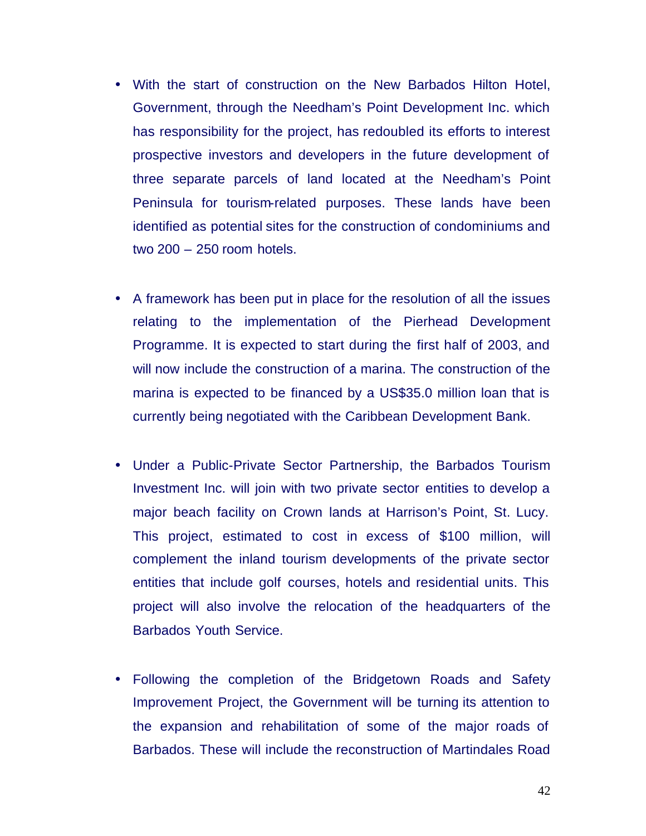- With the start of construction on the New Barbados Hilton Hotel, Government, through the Needham's Point Development Inc. which has responsibility for the project, has redoubled its efforts to interest prospective investors and developers in the future development of three separate parcels of land located at the Needham's Point Peninsula for tourism-related purposes. These lands have been identified as potential sites for the construction of condominiums and two 200 – 250 room hotels.
- A framework has been put in place for the resolution of all the issues relating to the implementation of the Pierhead Development Programme. It is expected to start during the first half of 2003, and will now include the construction of a marina. The construction of the marina is expected to be financed by a US\$35.0 million loan that is currently being negotiated with the Caribbean Development Bank.
- Under a Public-Private Sector Partnership, the Barbados Tourism Investment Inc. will join with two private sector entities to develop a major beach facility on Crown lands at Harrison's Point, St. Lucy. This project, estimated to cost in excess of \$100 million, will complement the inland tourism developments of the private sector entities that include golf courses, hotels and residential units. This project will also involve the relocation of the headquarters of the Barbados Youth Service.
- Following the completion of the Bridgetown Roads and Safety Improvement Project, the Government will be turning its attention to the expansion and rehabilitation of some of the major roads of Barbados. These will include the reconstruction of Martindales Road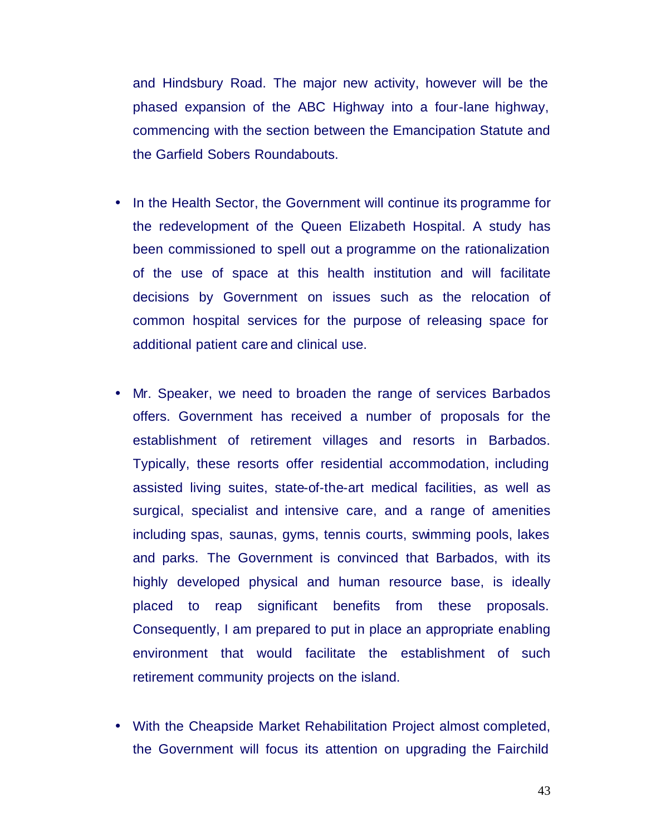and Hindsbury Road. The major new activity, however will be the phased expansion of the ABC Highway into a four-lane highway, commencing with the section between the Emancipation Statute and the Garfield Sobers Roundabouts.

- In the Health Sector, the Government will continue its programme for the redevelopment of the Queen Elizabeth Hospital. A study has been commissioned to spell out a programme on the rationalization of the use of space at this health institution and will facilitate decisions by Government on issues such as the relocation of common hospital services for the purpose of releasing space for additional patient care and clinical use.
- Mr. Speaker, we need to broaden the range of services Barbados offers. Government has received a number of proposals for the establishment of retirement villages and resorts in Barbados. Typically, these resorts offer residential accommodation, including assisted living suites, state-of-the-art medical facilities, as well as surgical, specialist and intensive care, and a range of amenities including spas, saunas, gyms, tennis courts, swimming pools, lakes and parks. The Government is convinced that Barbados, with its highly developed physical and human resource base, is ideally placed to reap significant benefits from these proposals. Consequently, I am prepared to put in place an appropriate enabling environment that would facilitate the establishment of such retirement community projects on the island.
- With the Cheapside Market Rehabilitation Project almost completed, the Government will focus its attention on upgrading the Fairchild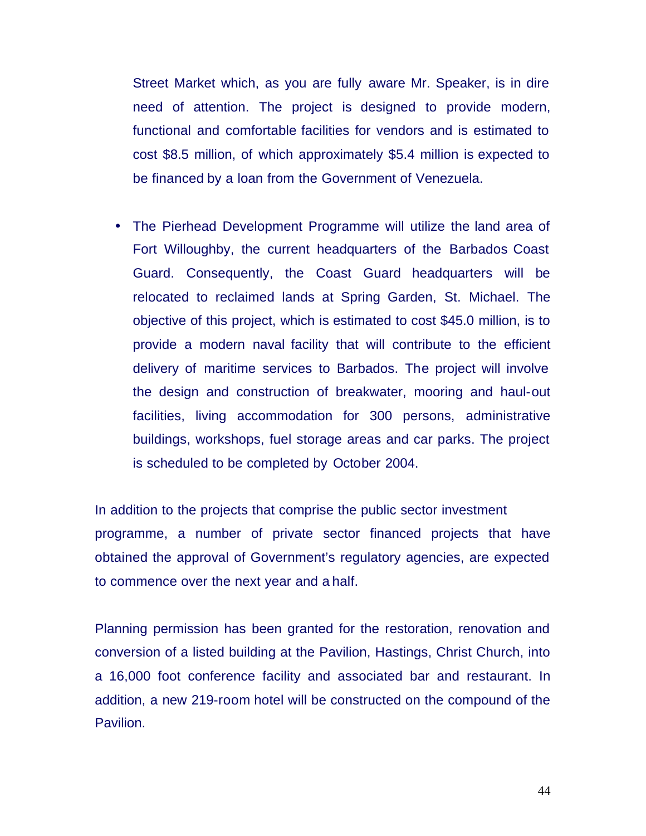Street Market which, as you are fully aware Mr. Speaker, is in dire need of attention. The project is designed to provide modern, functional and comfortable facilities for vendors and is estimated to cost \$8.5 million, of which approximately \$5.4 million is expected to be financed by a loan from the Government of Venezuela.

• The Pierhead Development Programme will utilize the land area of Fort Willoughby, the current headquarters of the Barbados Coast Guard. Consequently, the Coast Guard headquarters will be relocated to reclaimed lands at Spring Garden, St. Michael. The objective of this project, which is estimated to cost \$45.0 million, is to provide a modern naval facility that will contribute to the efficient delivery of maritime services to Barbados. The project will involve the design and construction of breakwater, mooring and haul-out facilities, living accommodation for 300 persons, administrative buildings, workshops, fuel storage areas and car parks. The project is scheduled to be completed by October 2004.

In addition to the projects that comprise the public sector investment programme, a number of private sector financed projects that have obtained the approval of Government's regulatory agencies, are expected to commence over the next year and a half.

Planning permission has been granted for the restoration, renovation and conversion of a listed building at the Pavilion, Hastings, Christ Church, into a 16,000 foot conference facility and associated bar and restaurant. In addition, a new 219-room hotel will be constructed on the compound of the Pavilion.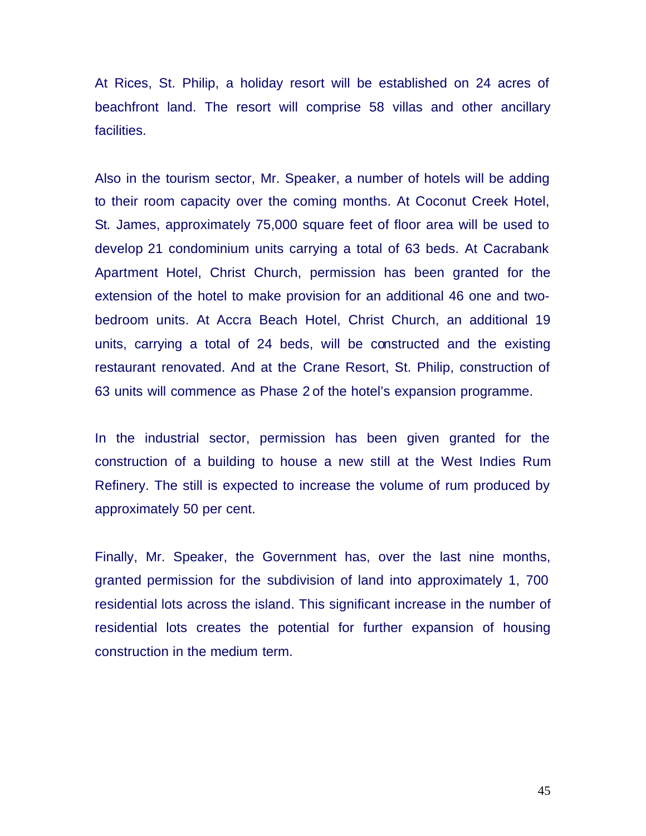At Rices, St. Philip, a holiday resort will be established on 24 acres of beachfront land. The resort will comprise 58 villas and other ancillary facilities.

Also in the tourism sector, Mr. Speaker, a number of hotels will be adding to their room capacity over the coming months. At Coconut Creek Hotel, St. James, approximately 75,000 square feet of floor area will be used to develop 21 condominium units carrying a total of 63 beds. At Cacrabank Apartment Hotel, Christ Church, permission has been granted for the extension of the hotel to make provision for an additional 46 one and twobedroom units. At Accra Beach Hotel, Christ Church, an additional 19 units, carrying a total of 24 beds, will be constructed and the existing restaurant renovated. And at the Crane Resort, St. Philip, construction of 63 units will commence as Phase 2 of the hotel's expansion programme.

In the industrial sector, permission has been given granted for the construction of a building to house a new still at the West Indies Rum Refinery. The still is expected to increase the volume of rum produced by approximately 50 per cent.

Finally, Mr. Speaker, the Government has, over the last nine months, granted permission for the subdivision of land into approximately 1, 700 residential lots across the island. This significant increase in the number of residential lots creates the potential for further expansion of housing construction in the medium term.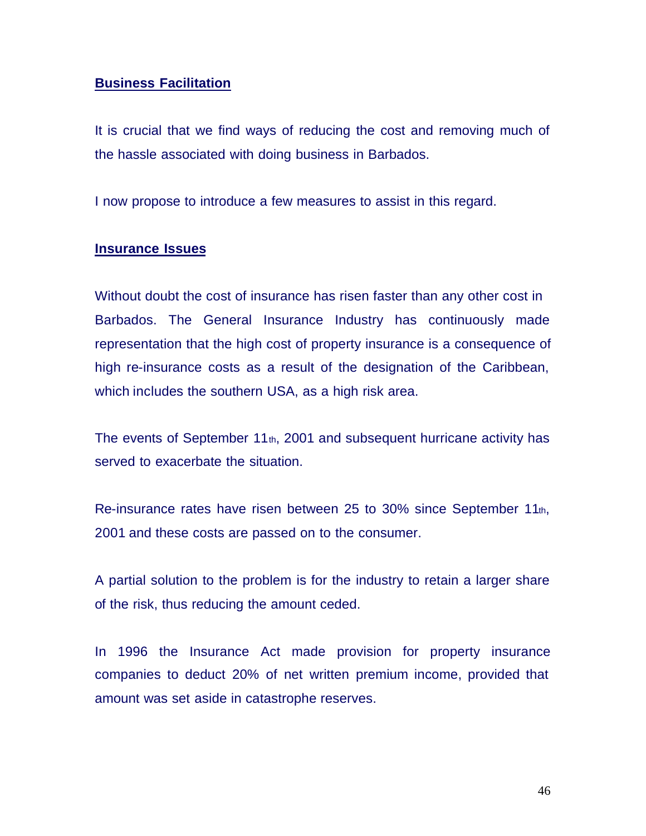## **Business Facilitation**

It is crucial that we find ways of reducing the cost and removing much of the hassle associated with doing business in Barbados.

I now propose to introduce a few measures to assist in this regard.

### **Insurance Issues**

Without doubt the cost of insurance has risen faster than any other cost in Barbados. The General Insurance Industry has continuously made representation that the high cost of property insurance is a consequence of high re-insurance costs as a result of the designation of the Caribbean, which includes the southern USA, as a high risk area.

The events of September 11th, 2001 and subsequent hurricane activity has served to exacerbate the situation.

Re-insurance rates have risen between 25 to 30% since September 11th, 2001 and these costs are passed on to the consumer.

A partial solution to the problem is for the industry to retain a larger share of the risk, thus reducing the amount ceded.

In 1996 the Insurance Act made provision for property insurance companies to deduct 20% of net written premium income, provided that amount was set aside in catastrophe reserves.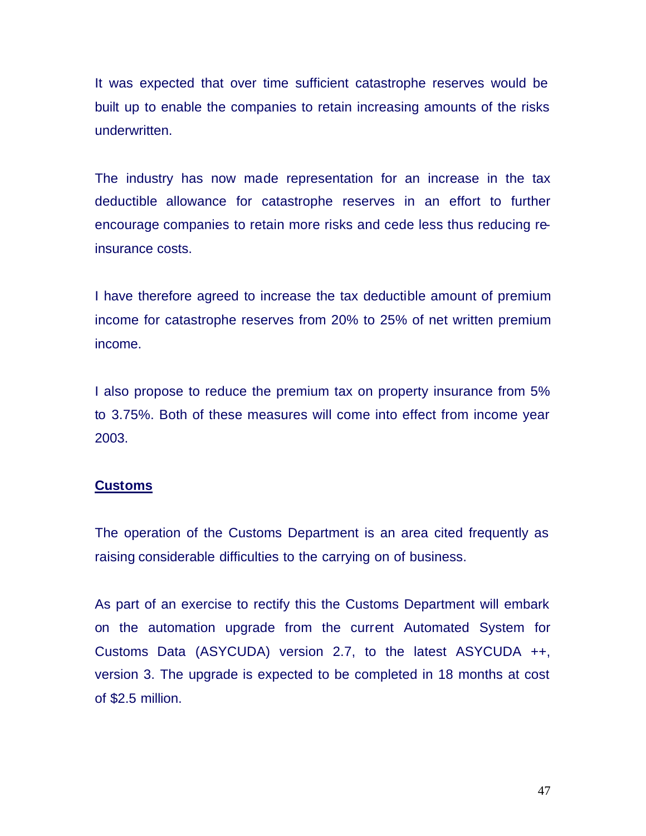It was expected that over time sufficient catastrophe reserves would be built up to enable the companies to retain increasing amounts of the risks underwritten.

The industry has now made representation for an increase in the tax deductible allowance for catastrophe reserves in an effort to further encourage companies to retain more risks and cede less thus reducing reinsurance costs.

I have therefore agreed to increase the tax deductible amount of premium income for catastrophe reserves from 20% to 25% of net written premium income.

I also propose to reduce the premium tax on property insurance from 5% to 3.75%. Both of these measures will come into effect from income year 2003.

#### **Customs**

The operation of the Customs Department is an area cited frequently as raising considerable difficulties to the carrying on of business.

As part of an exercise to rectify this the Customs Department will embark on the automation upgrade from the current Automated System for Customs Data (ASYCUDA) version 2.7, to the latest ASYCUDA ++, version 3. The upgrade is expected to be completed in 18 months at cost of \$2.5 million.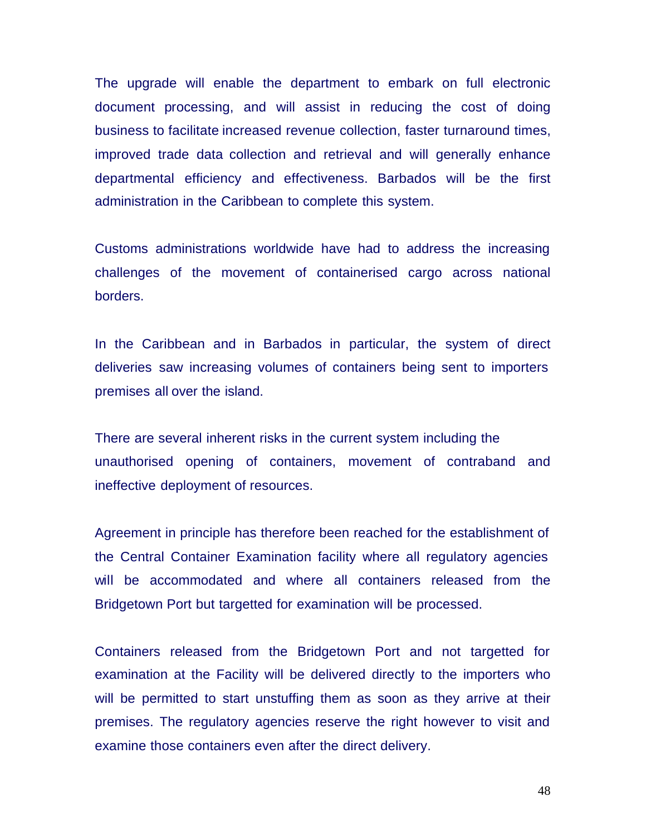The upgrade will enable the department to embark on full electronic document processing, and will assist in reducing the cost of doing business to facilitate increased revenue collection, faster turnaround times, improved trade data collection and retrieval and will generally enhance departmental efficiency and effectiveness. Barbados will be the first administration in the Caribbean to complete this system.

Customs administrations worldwide have had to address the increasing challenges of the movement of containerised cargo across national borders.

In the Caribbean and in Barbados in particular, the system of direct deliveries saw increasing volumes of containers being sent to importers premises all over the island.

There are several inherent risks in the current system including the unauthorised opening of containers, movement of contraband and ineffective deployment of resources.

Agreement in principle has therefore been reached for the establishment of the Central Container Examination facility where all regulatory agencies will be accommodated and where all containers released from the Bridgetown Port but targetted for examination will be processed.

Containers released from the Bridgetown Port and not targetted for examination at the Facility will be delivered directly to the importers who will be permitted to start unstuffing them as soon as they arrive at their premises. The regulatory agencies reserve the right however to visit and examine those containers even after the direct delivery.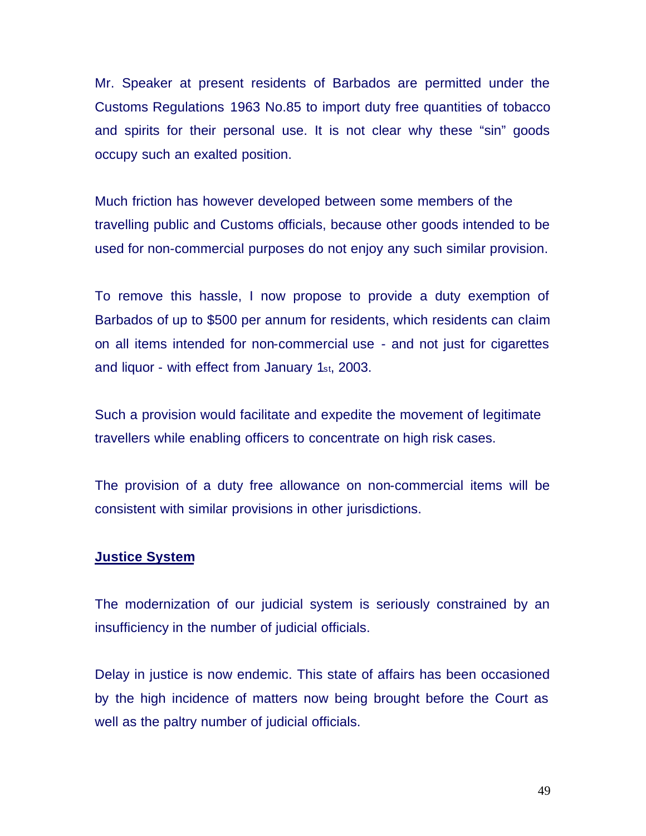Mr. Speaker at present residents of Barbados are permitted under the Customs Regulations 1963 No.85 to import duty free quantities of tobacco and spirits for their personal use. It is not clear why these "sin" goods occupy such an exalted position.

Much friction has however developed between some members of the travelling public and Customs officials, because other goods intended to be used for non-commercial purposes do not enjoy any such similar provision.

To remove this hassle, I now propose to provide a duty exemption of Barbados of up to \$500 per annum for residents, which residents can claim on all items intended for non-commercial use - and not just for cigarettes and liquor - with effect from January 1st, 2003.

Such a provision would facilitate and expedite the movement of legitimate travellers while enabling officers to concentrate on high risk cases.

The provision of a duty free allowance on non-commercial items will be consistent with similar provisions in other jurisdictions.

### **Justice System**

The modernization of our judicial system is seriously constrained by an insufficiency in the number of judicial officials.

Delay in justice is now endemic. This state of affairs has been occasioned by the high incidence of matters now being brought before the Court as well as the paltry number of judicial officials.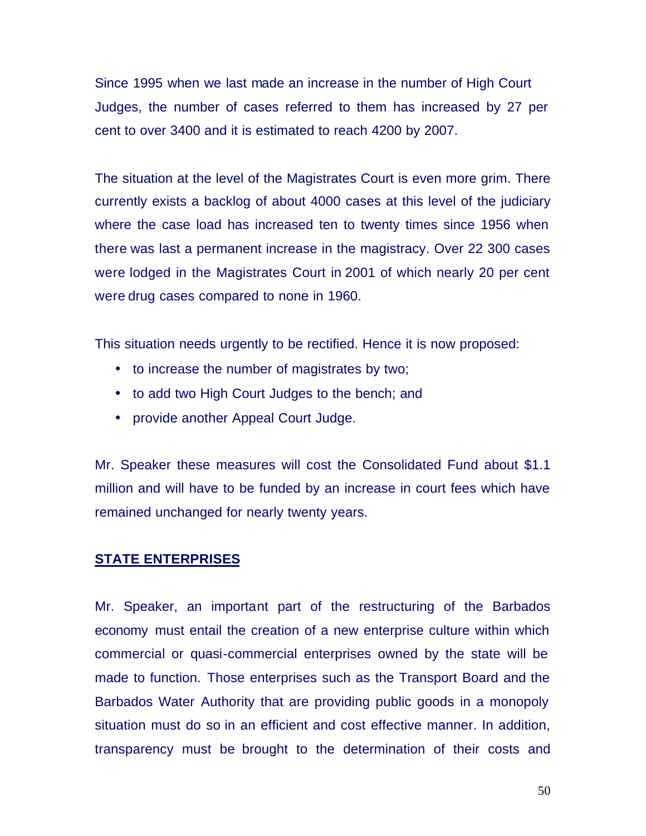Since 1995 when we last made an increase in the number of High Court Judges, the number of cases referred to them has increased by 27 per cent to over 3400 and it is estimated to reach 4200 by 2007.

The situation at the level of the Magistrates Court is even more grim. There currently exists a backlog of about 4000 cases at this level of the judiciary where the case load has increased ten to twenty times since 1956 when there was last a permanent increase in the magistracy. Over 22 300 cases were lodged in the Magistrates Court in 2001 of which nearly 20 per cent were drug cases compared to none in 1960.

This situation needs urgently to be rectified. Hence it is now proposed:

- to increase the number of magistrates by two;
- to add two High Court Judges to the bench; and
- provide another Appeal Court Judge.

Mr. Speaker these measures will cost the Consolidated Fund about \$1.1 million and will have to be funded by an increase in court fees which have remained unchanged for nearly twenty years.

### **STATE ENTERPRISES**

Mr. Speaker, an important part of the restructuring of the Barbados economy must entail the creation of a new enterprise culture within which commercial or quasi-commercial enterprises owned by the state will be made to function. Those enterprises such as the Transport Board and the Barbados Water Authority that are providing public goods in a monopoly situation must do so in an efficient and cost effective manner. In addition, transparency must be brought to the determination of their costs and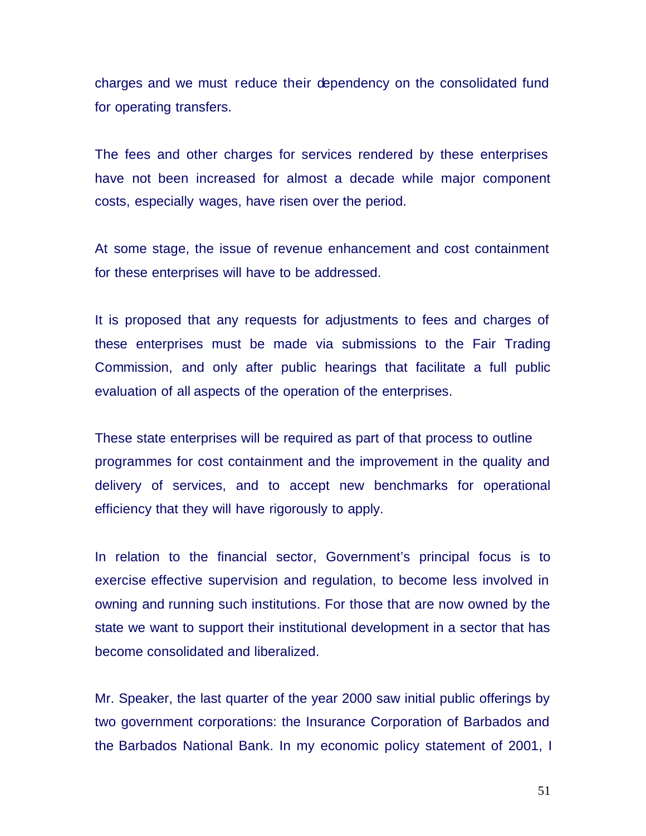charges and we must reduce their dependency on the consolidated fund for operating transfers.

The fees and other charges for services rendered by these enterprises have not been increased for almost a decade while major component costs, especially wages, have risen over the period.

At some stage, the issue of revenue enhancement and cost containment for these enterprises will have to be addressed.

It is proposed that any requests for adjustments to fees and charges of these enterprises must be made via submissions to the Fair Trading Commission, and only after public hearings that facilitate a full public evaluation of all aspects of the operation of the enterprises.

These state enterprises will be required as part of that process to outline programmes for cost containment and the improvement in the quality and delivery of services, and to accept new benchmarks for operational efficiency that they will have rigorously to apply.

In relation to the financial sector, Government's principal focus is to exercise effective supervision and regulation, to become less involved in owning and running such institutions. For those that are now owned by the state we want to support their institutional development in a sector that has become consolidated and liberalized.

Mr. Speaker, the last quarter of the year 2000 saw initial public offerings by two government corporations: the Insurance Corporation of Barbados and the Barbados National Bank. In my economic policy statement of 2001, I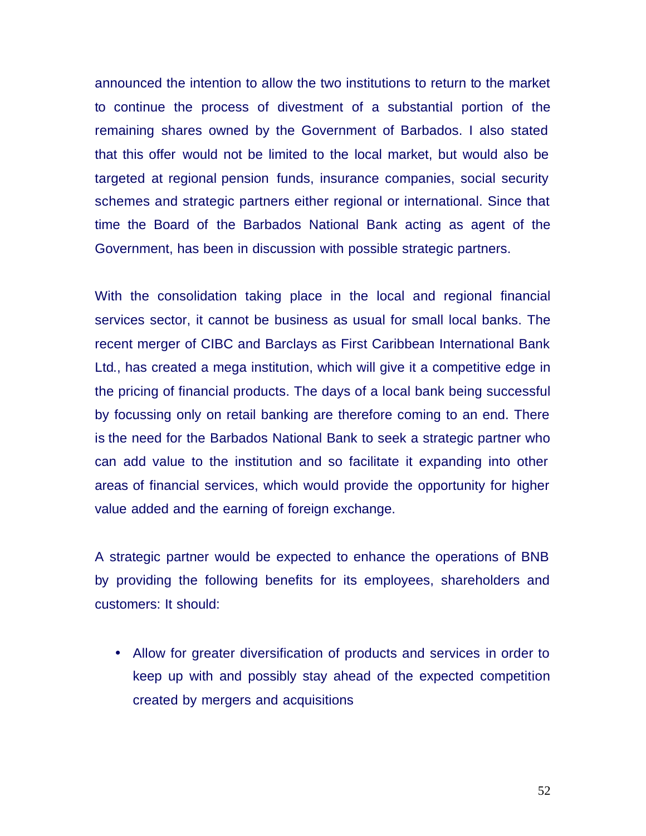announced the intention to allow the two institutions to return to the market to continue the process of divestment of a substantial portion of the remaining shares owned by the Government of Barbados. I also stated that this offer would not be limited to the local market, but would also be targeted at regional pension funds, insurance companies, social security schemes and strategic partners either regional or international. Since that time the Board of the Barbados National Bank acting as agent of the Government, has been in discussion with possible strategic partners.

With the consolidation taking place in the local and regional financial services sector, it cannot be business as usual for small local banks. The recent merger of CIBC and Barclays as First Caribbean International Bank Ltd., has created a mega institution, which will give it a competitive edge in the pricing of financial products. The days of a local bank being successful by focussing only on retail banking are therefore coming to an end. There is the need for the Barbados National Bank to seek a strategic partner who can add value to the institution and so facilitate it expanding into other areas of financial services, which would provide the opportunity for higher value added and the earning of foreign exchange.

A strategic partner would be expected to enhance the operations of BNB by providing the following benefits for its employees, shareholders and customers: It should:

• Allow for greater diversification of products and services in order to keep up with and possibly stay ahead of the expected competition created by mergers and acquisitions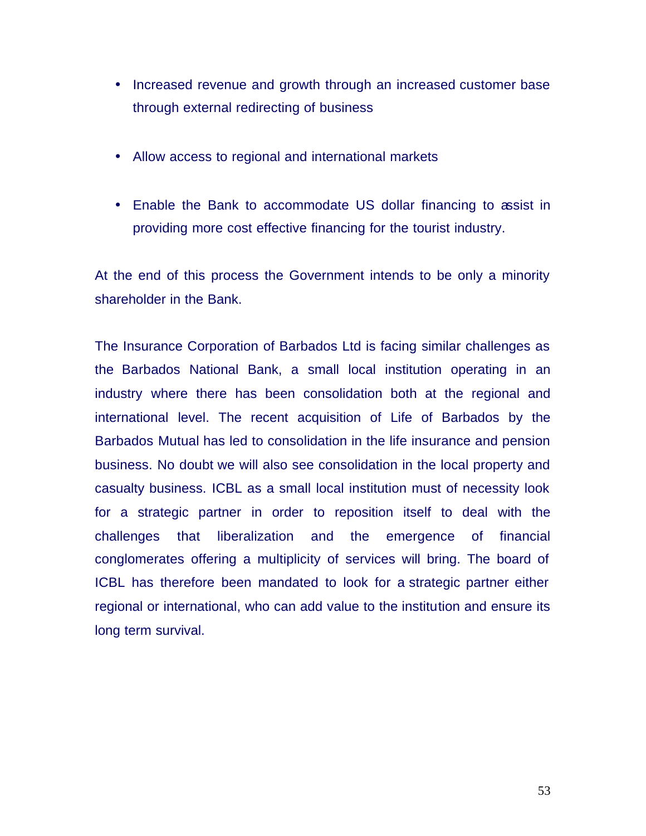- Increased revenue and growth through an increased customer base through external redirecting of business
- Allow access to regional and international markets
- Enable the Bank to accommodate US dollar financing to assist in providing more cost effective financing for the tourist industry.

At the end of this process the Government intends to be only a minority shareholder in the Bank.

The Insurance Corporation of Barbados Ltd is facing similar challenges as the Barbados National Bank, a small local institution operating in an industry where there has been consolidation both at the regional and international level. The recent acquisition of Life of Barbados by the Barbados Mutual has led to consolidation in the life insurance and pension business. No doubt we will also see consolidation in the local property and casualty business. ICBL as a small local institution must of necessity look for a strategic partner in order to reposition itself to deal with the challenges that liberalization and the emergence of financial conglomerates offering a multiplicity of services will bring. The board of ICBL has therefore been mandated to look for a strategic partner either regional or international, who can add value to the institution and ensure its long term survival.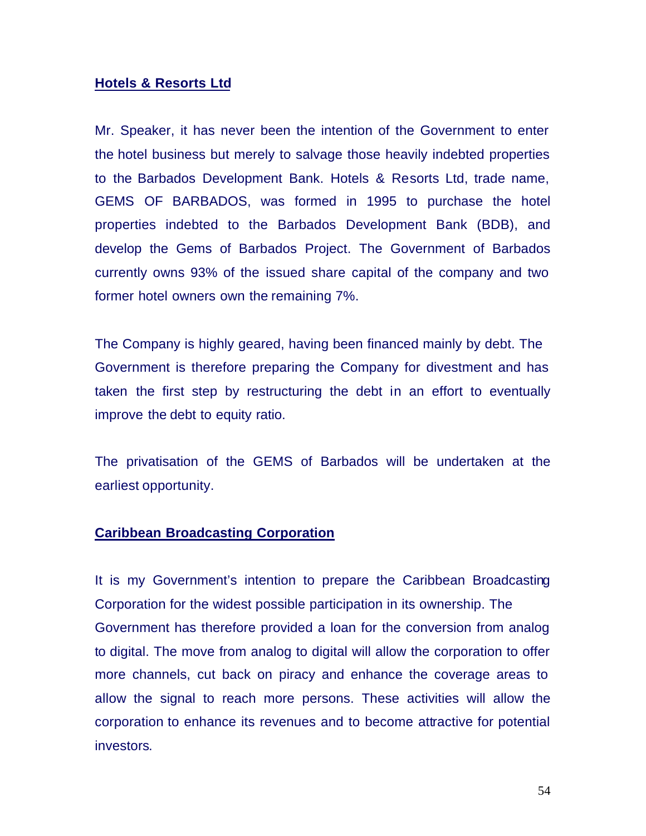### **Hotels & Resorts Ltd**

Mr. Speaker, it has never been the intention of the Government to enter the hotel business but merely to salvage those heavily indebted properties to the Barbados Development Bank. Hotels & Resorts Ltd, trade name, GEMS OF BARBADOS, was formed in 1995 to purchase the hotel properties indebted to the Barbados Development Bank (BDB), and develop the Gems of Barbados Project. The Government of Barbados currently owns 93% of the issued share capital of the company and two former hotel owners own the remaining 7%.

The Company is highly geared, having been financed mainly by debt. The Government is therefore preparing the Company for divestment and has taken the first step by restructuring the debt in an effort to eventually improve the debt to equity ratio.

The privatisation of the GEMS of Barbados will be undertaken at the earliest opportunity.

### **Caribbean Broadcasting Corporation**

It is my Government's intention to prepare the Caribbean Broadcasting Corporation for the widest possible participation in its ownership. The Government has therefore provided a loan for the conversion from analog to digital. The move from analog to digital will allow the corporation to offer more channels, cut back on piracy and enhance the coverage areas to allow the signal to reach more persons. These activities will allow the corporation to enhance its revenues and to become attractive for potential investors.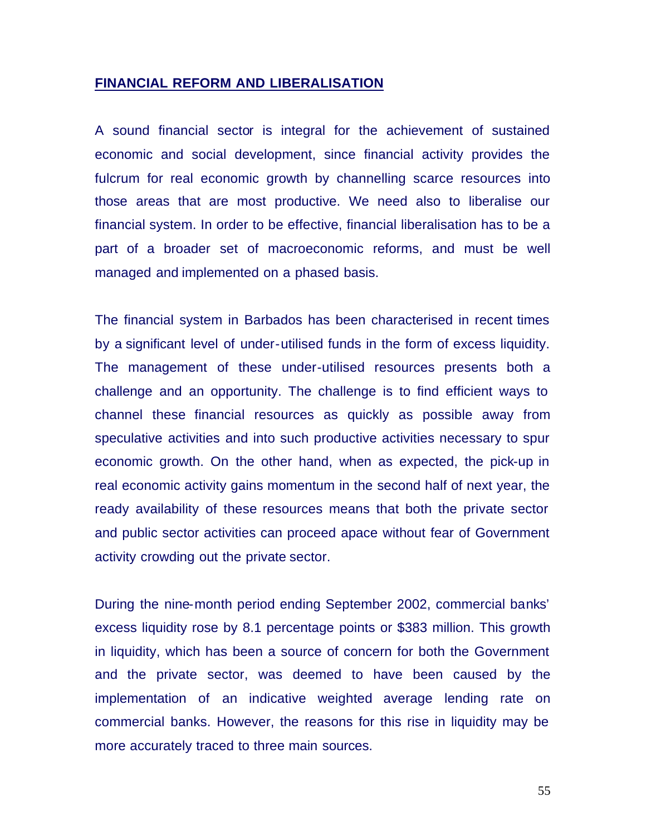#### **FINANCIAL REFORM AND LIBERALISATION**

A sound financial sector is integral for the achievement of sustained economic and social development, since financial activity provides the fulcrum for real economic growth by channelling scarce resources into those areas that are most productive. We need also to liberalise our financial system. In order to be effective, financial liberalisation has to be a part of a broader set of macroeconomic reforms, and must be well managed and implemented on a phased basis.

The financial system in Barbados has been characterised in recent times by a significant level of under-utilised funds in the form of excess liquidity. The management of these under-utilised resources presents both a challenge and an opportunity. The challenge is to find efficient ways to channel these financial resources as quickly as possible away from speculative activities and into such productive activities necessary to spur economic growth. On the other hand, when as expected, the pick-up in real economic activity gains momentum in the second half of next year, the ready availability of these resources means that both the private sector and public sector activities can proceed apace without fear of Government activity crowding out the private sector.

During the nine-month period ending September 2002, commercial banks' excess liquidity rose by 8.1 percentage points or \$383 million. This growth in liquidity, which has been a source of concern for both the Government and the private sector, was deemed to have been caused by the implementation of an indicative weighted average lending rate on commercial banks. However, the reasons for this rise in liquidity may be more accurately traced to three main sources.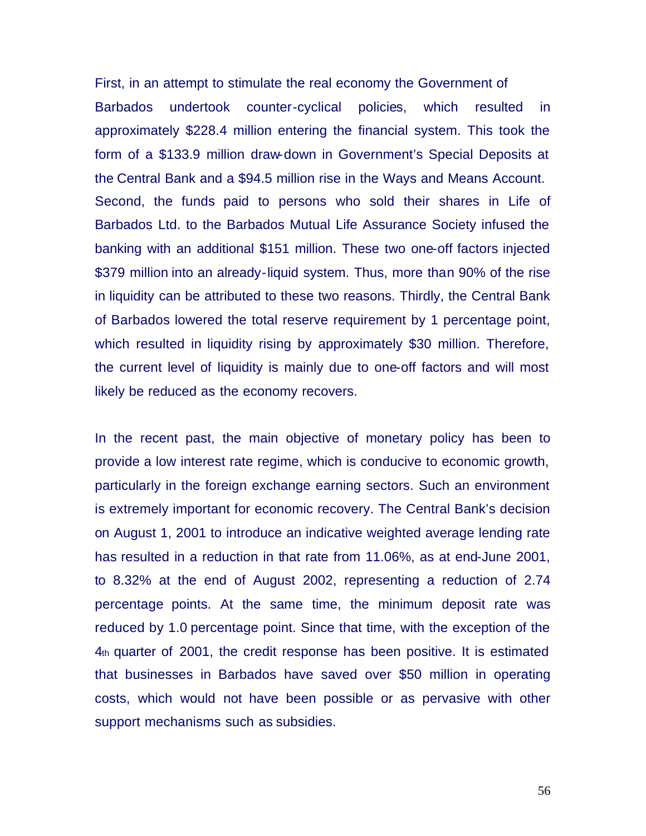First, in an attempt to stimulate the real economy the Government of Barbados undertook counter-cyclical policies, which resulted in approximately \$228.4 million entering the financial system. This took the form of a \$133.9 million draw-down in Government's Special Deposits at the Central Bank and a \$94.5 million rise in the Ways and Means Account. Second, the funds paid to persons who sold their shares in Life of Barbados Ltd. to the Barbados Mutual Life Assurance Society infused the banking with an additional \$151 million. These two one-off factors injected \$379 million into an already-liquid system. Thus, more than 90% of the rise in liquidity can be attributed to these two reasons. Thirdly, the Central Bank of Barbados lowered the total reserve requirement by 1 percentage point, which resulted in liquidity rising by approximately \$30 million. Therefore, the current level of liquidity is mainly due to one-off factors and will most likely be reduced as the economy recovers.

In the recent past, the main objective of monetary policy has been to provide a low interest rate regime, which is conducive to economic growth, particularly in the foreign exchange earning sectors. Such an environment is extremely important for economic recovery. The Central Bank's decision on August 1, 2001 to introduce an indicative weighted average lending rate has resulted in a reduction in that rate from 11.06%, as at end-June 2001, to 8.32% at the end of August 2002, representing a reduction of 2.74 percentage points. At the same time, the minimum deposit rate was reduced by 1.0 percentage point. Since that time, with the exception of the 4th quarter of 2001, the credit response has been positive. It is estimated that businesses in Barbados have saved over \$50 million in operating costs, which would not have been possible or as pervasive with other support mechanisms such as subsidies.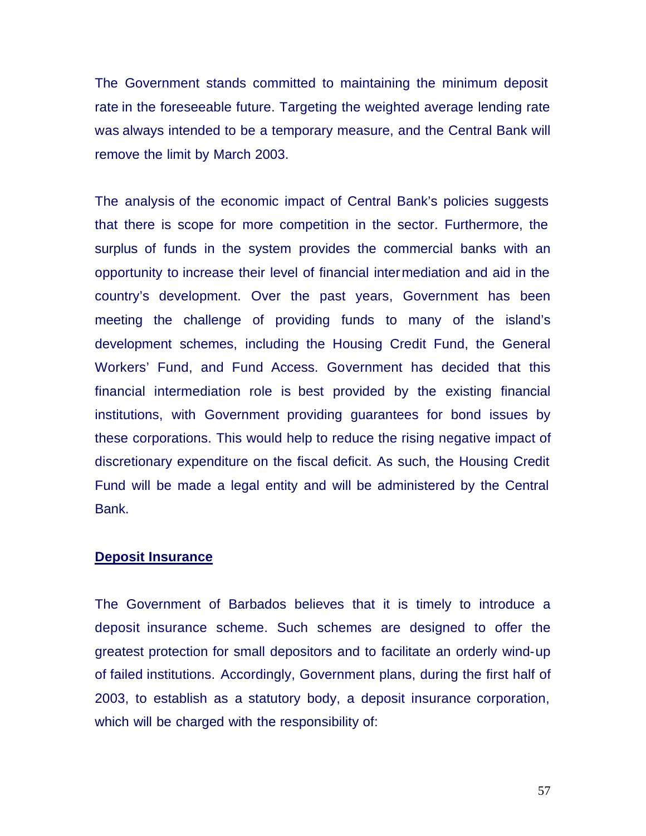The Government stands committed to maintaining the minimum deposit rate in the foreseeable future. Targeting the weighted average lending rate was always intended to be a temporary measure, and the Central Bank will remove the limit by March 2003.

The analysis of the economic impact of Central Bank's policies suggests that there is scope for more competition in the sector. Furthermore, the surplus of funds in the system provides the commercial banks with an opportunity to increase their level of financial intermediation and aid in the country's development. Over the past years, Government has been meeting the challenge of providing funds to many of the island's development schemes, including the Housing Credit Fund, the General Workers' Fund, and Fund Access. Government has decided that this financial intermediation role is best provided by the existing financial institutions, with Government providing guarantees for bond issues by these corporations. This would help to reduce the rising negative impact of discretionary expenditure on the fiscal deficit. As such, the Housing Credit Fund will be made a legal entity and will be administered by the Central Bank.

## **Deposit Insurance**

The Government of Barbados believes that it is timely to introduce a deposit insurance scheme. Such schemes are designed to offer the greatest protection for small depositors and to facilitate an orderly wind-up of failed institutions. Accordingly, Government plans, during the first half of 2003, to establish as a statutory body, a deposit insurance corporation, which will be charged with the responsibility of: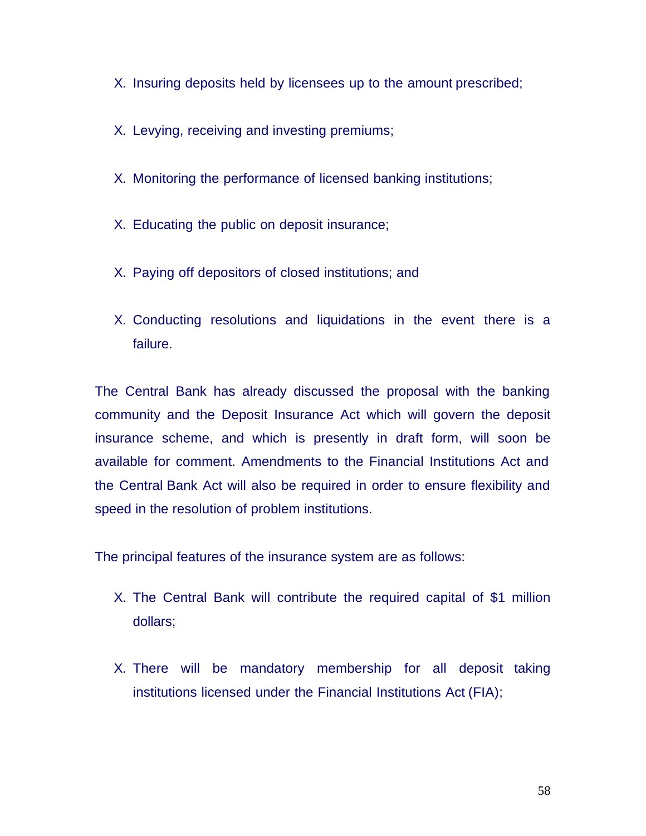- X. Insuring deposits held by licensees up to the amount prescribed;
- X. Levying, receiving and investing premiums;
- X. Monitoring the performance of licensed banking institutions;
- X. Educating the public on deposit insurance;
- X. Paying off depositors of closed institutions; and
- X. Conducting resolutions and liquidations in the event there is a failure.

The Central Bank has already discussed the proposal with the banking community and the Deposit Insurance Act which will govern the deposit insurance scheme, and which is presently in draft form, will soon be available for comment. Amendments to the Financial Institutions Act and the Central Bank Act will also be required in order to ensure flexibility and speed in the resolution of problem institutions.

The principal features of the insurance system are as follows:

- X. The Central Bank will contribute the required capital of \$1 million dollars;
- X. There will be mandatory membership for all deposit taking institutions licensed under the Financial Institutions Act (FIA);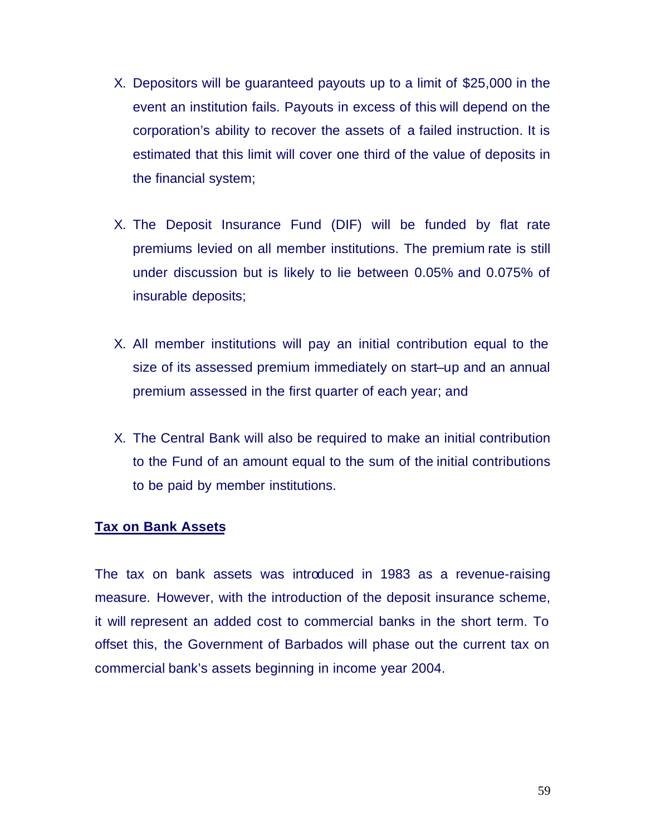- X. Depositors will be guaranteed payouts up to a limit of \$25,000 in the event an institution fails. Payouts in excess of this will depend on the corporation's ability to recover the assets of a failed instruction. It is estimated that this limit will cover one third of the value of deposits in the financial system;
- X. The Deposit Insurance Fund (DIF) will be funded by flat rate premiums levied on all member institutions. The premium rate is still under discussion but is likely to lie between 0.05% and 0.075% of insurable deposits;
- X. All member institutions will pay an initial contribution equal to the size of its assessed premium immediately on start–up and an annual premium assessed in the first quarter of each year; and
- X. The Central Bank will also be required to make an initial contribution to the Fund of an amount equal to the sum of the initial contributions to be paid by member institutions.

### **Tax on Bank Assets**

The tax on bank assets was introduced in 1983 as a revenue-raising measure. However, with the introduction of the deposit insurance scheme, it will represent an added cost to commercial banks in the short term. To offset this, the Government of Barbados will phase out the current tax on commercial bank's assets beginning in income year 2004.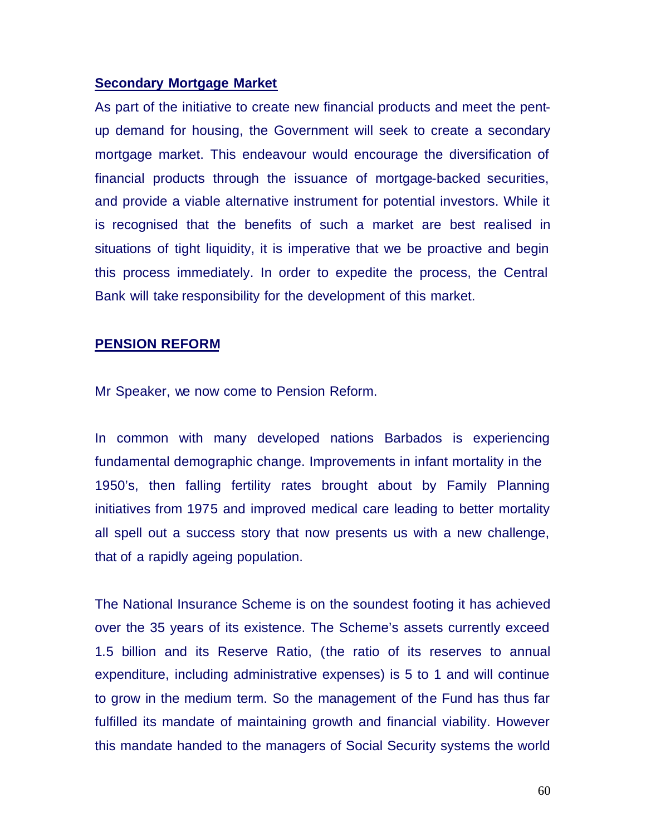### **Secondary Mortgage Market**

As part of the initiative to create new financial products and meet the pentup demand for housing, the Government will seek to create a secondary mortgage market. This endeavour would encourage the diversification of financial products through the issuance of mortgage-backed securities, and provide a viable alternative instrument for potential investors. While it is recognised that the benefits of such a market are best realised in situations of tight liquidity, it is imperative that we be proactive and begin this process immediately. In order to expedite the process, the Central Bank will take responsibility for the development of this market.

### **PENSION REFORM**

Mr Speaker, we now come to Pension Reform.

In common with many developed nations Barbados is experiencing fundamental demographic change. Improvements in infant mortality in the 1950's, then falling fertility rates brought about by Family Planning initiatives from 1975 and improved medical care leading to better mortality all spell out a success story that now presents us with a new challenge, that of a rapidly ageing population.

The National Insurance Scheme is on the soundest footing it has achieved over the 35 years of its existence. The Scheme's assets currently exceed 1.5 billion and its Reserve Ratio, (the ratio of its reserves to annual expenditure, including administrative expenses) is 5 to 1 and will continue to grow in the medium term. So the management of the Fund has thus far fulfilled its mandate of maintaining growth and financial viability. However this mandate handed to the managers of Social Security systems the world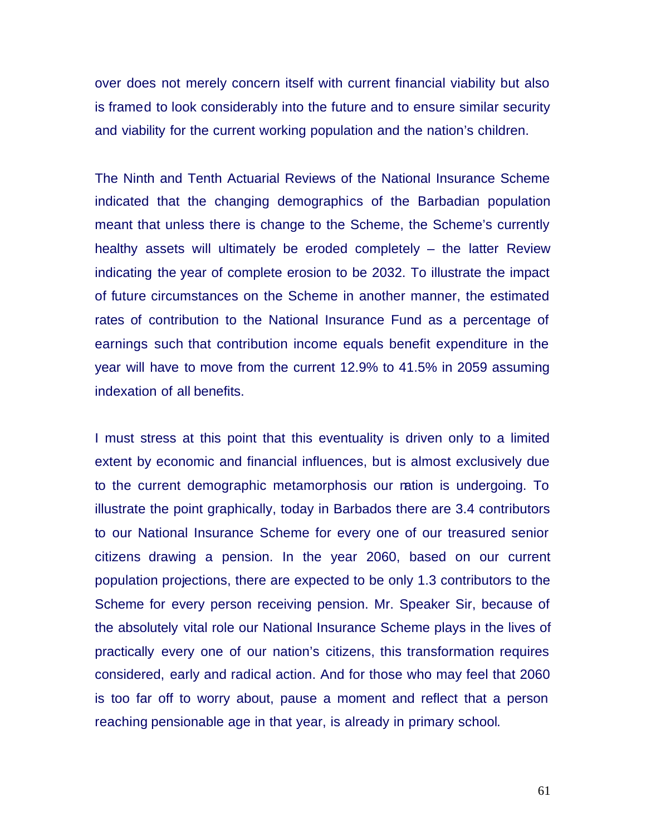over does not merely concern itself with current financial viability but also is framed to look considerably into the future and to ensure similar security and viability for the current working population and the nation's children.

The Ninth and Tenth Actuarial Reviews of the National Insurance Scheme indicated that the changing demographics of the Barbadian population meant that unless there is change to the Scheme, the Scheme's currently healthy assets will ultimately be eroded completely – the latter Review indicating the year of complete erosion to be 2032. To illustrate the impact of future circumstances on the Scheme in another manner, the estimated rates of contribution to the National Insurance Fund as a percentage of earnings such that contribution income equals benefit expenditure in the year will have to move from the current 12.9% to 41.5% in 2059 assuming indexation of all benefits.

I must stress at this point that this eventuality is driven only to a limited extent by economic and financial influences, but is almost exclusively due to the current demographic metamorphosis our nation is undergoing. To illustrate the point graphically, today in Barbados there are 3.4 contributors to our National Insurance Scheme for every one of our treasured senior citizens drawing a pension. In the year 2060, based on our current population projections, there are expected to be only 1.3 contributors to the Scheme for every person receiving pension. Mr. Speaker Sir, because of the absolutely vital role our National Insurance Scheme plays in the lives of practically every one of our nation's citizens, this transformation requires considered, early and radical action. And for those who may feel that 2060 is too far off to worry about, pause a moment and reflect that a person reaching pensionable age in that year, is already in primary school.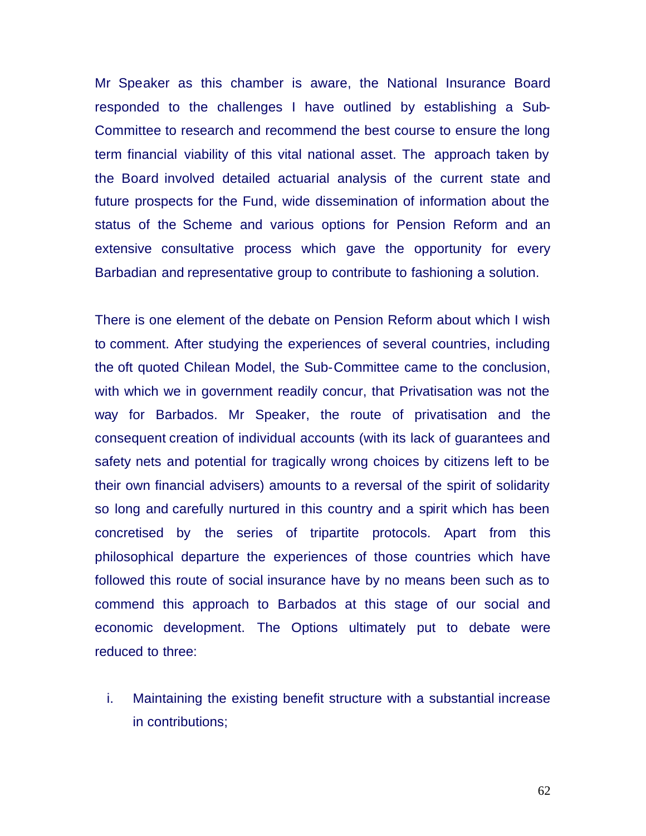Mr Speaker as this chamber is aware, the National Insurance Board responded to the challenges I have outlined by establishing a Sub-Committee to research and recommend the best course to ensure the long term financial viability of this vital national asset. The approach taken by the Board involved detailed actuarial analysis of the current state and future prospects for the Fund, wide dissemination of information about the status of the Scheme and various options for Pension Reform and an extensive consultative process which gave the opportunity for every Barbadian and representative group to contribute to fashioning a solution.

There is one element of the debate on Pension Reform about which I wish to comment. After studying the experiences of several countries, including the oft quoted Chilean Model, the Sub-Committee came to the conclusion, with which we in government readily concur, that Privatisation was not the way for Barbados. Mr Speaker, the route of privatisation and the consequent creation of individual accounts (with its lack of guarantees and safety nets and potential for tragically wrong choices by citizens left to be their own financial advisers) amounts to a reversal of the spirit of solidarity so long and carefully nurtured in this country and a spirit which has been concretised by the series of tripartite protocols. Apart from this philosophical departure the experiences of those countries which have followed this route of social insurance have by no means been such as to commend this approach to Barbados at this stage of our social and economic development. The Options ultimately put to debate were reduced to three:

i. Maintaining the existing benefit structure with a substantial increase in contributions;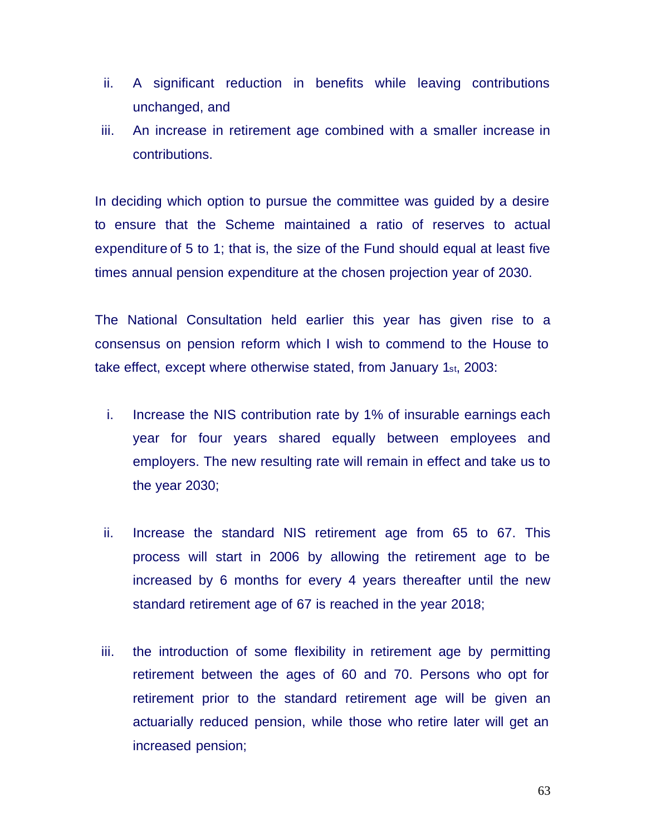- ii. A significant reduction in benefits while leaving contributions unchanged, and
- iii. An increase in retirement age combined with a smaller increase in contributions.

In deciding which option to pursue the committee was guided by a desire to ensure that the Scheme maintained a ratio of reserves to actual expenditure of 5 to 1; that is, the size of the Fund should equal at least five times annual pension expenditure at the chosen projection year of 2030.

The National Consultation held earlier this year has given rise to a consensus on pension reform which I wish to commend to the House to take effect, except where otherwise stated, from January 1st, 2003:

- i. Increase the NIS contribution rate by 1% of insurable earnings each year for four years shared equally between employees and employers. The new resulting rate will remain in effect and take us to the year 2030;
- ii. Increase the standard NIS retirement age from 65 to 67. This process will start in 2006 by allowing the retirement age to be increased by 6 months for every 4 years thereafter until the new standard retirement age of 67 is reached in the year 2018;
- iii. the introduction of some flexibility in retirement age by permitting retirement between the ages of 60 and 70. Persons who opt for retirement prior to the standard retirement age will be given an actuarially reduced pension, while those who retire later will get an increased pension;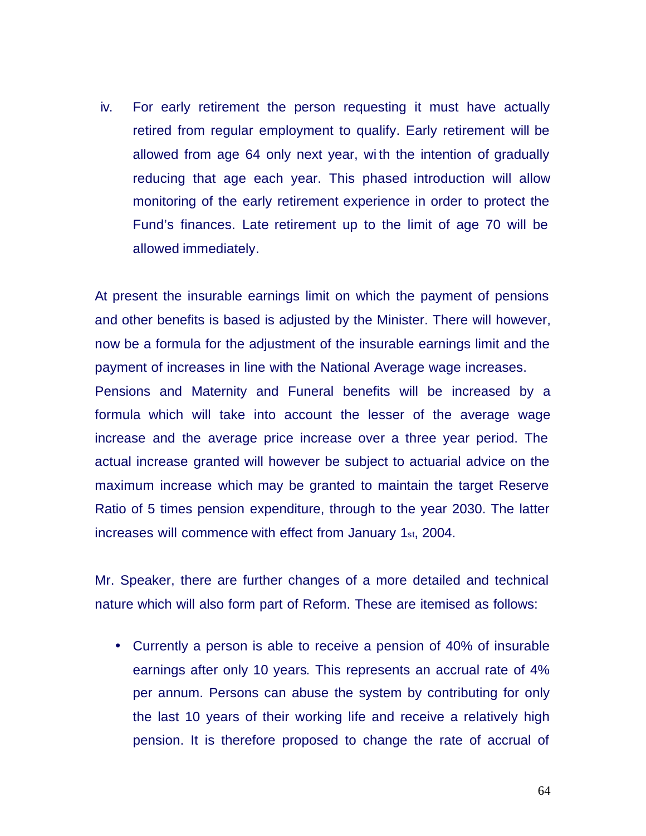iv. For early retirement the person requesting it must have actually retired from regular employment to qualify. Early retirement will be allowed from age 64 only next year, wi th the intention of gradually reducing that age each year. This phased introduction will allow monitoring of the early retirement experience in order to protect the Fund's finances. Late retirement up to the limit of age 70 will be allowed immediately.

At present the insurable earnings limit on which the payment of pensions and other benefits is based is adjusted by the Minister. There will however, now be a formula for the adjustment of the insurable earnings limit and the payment of increases in line with the National Average wage increases. Pensions and Maternity and Funeral benefits will be increased by a formula which will take into account the lesser of the average wage increase and the average price increase over a three year period. The actual increase granted will however be subject to actuarial advice on the maximum increase which may be granted to maintain the target Reserve

Ratio of 5 times pension expenditure, through to the year 2030. The latter increases will commence with effect from January 1st, 2004.

Mr. Speaker, there are further changes of a more detailed and technical nature which will also form part of Reform. These are itemised as follows:

• Currently a person is able to receive a pension of 40% of insurable earnings after only 10 years. This represents an accrual rate of 4% per annum. Persons can abuse the system by contributing for only the last 10 years of their working life and receive a relatively high pension. It is therefore proposed to change the rate of accrual of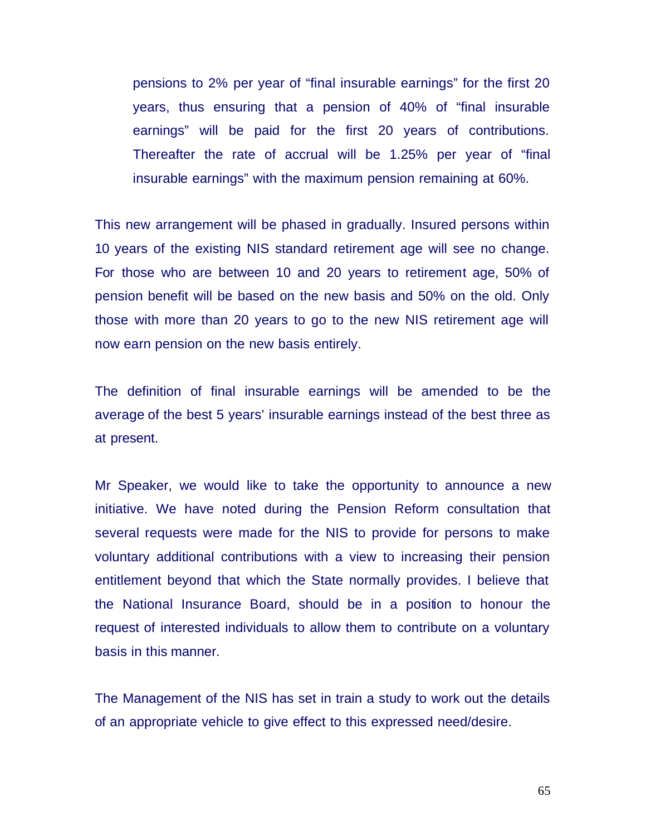pensions to 2% per year of "final insurable earnings" for the first 20 years, thus ensuring that a pension of 40% of "final insurable earnings" will be paid for the first 20 years of contributions. Thereafter the rate of accrual will be 1.25% per year of "final insurable earnings" with the maximum pension remaining at 60%.

This new arrangement will be phased in gradually. Insured persons within 10 years of the existing NIS standard retirement age will see no change. For those who are between 10 and 20 years to retirement age, 50% of pension benefit will be based on the new basis and 50% on the old. Only those with more than 20 years to go to the new NIS retirement age will now earn pension on the new basis entirely.

The definition of final insurable earnings will be amended to be the average of the best 5 years' insurable earnings instead of the best three as at present.

Mr Speaker, we would like to take the opportunity to announce a new initiative. We have noted during the Pension Reform consultation that several requests were made for the NIS to provide for persons to make voluntary additional contributions with a view to increasing their pension entitlement beyond that which the State normally provides. I believe that the National Insurance Board, should be in a position to honour the request of interested individuals to allow them to contribute on a voluntary basis in this manner.

The Management of the NIS has set in train a study to work out the details of an appropriate vehicle to give effect to this expressed need/desire.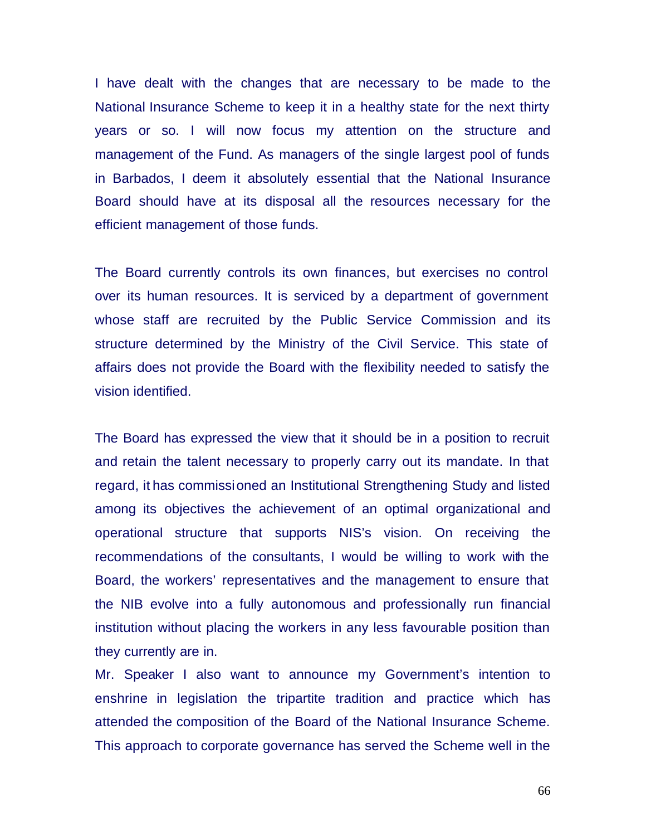I have dealt with the changes that are necessary to be made to the National Insurance Scheme to keep it in a healthy state for the next thirty years or so. I will now focus my attention on the structure and management of the Fund. As managers of the single largest pool of funds in Barbados, I deem it absolutely essential that the National Insurance Board should have at its disposal all the resources necessary for the efficient management of those funds.

The Board currently controls its own finances, but exercises no control over its human resources. It is serviced by a department of government whose staff are recruited by the Public Service Commission and its structure determined by the Ministry of the Civil Service. This state of affairs does not provide the Board with the flexibility needed to satisfy the vision identified.

The Board has expressed the view that it should be in a position to recruit and retain the talent necessary to properly carry out its mandate. In that regard, it has commissioned an Institutional Strengthening Study and listed among its objectives the achievement of an optimal organizational and operational structure that supports NIS's vision. On receiving the recommendations of the consultants, I would be willing to work with the Board, the workers' representatives and the management to ensure that the NIB evolve into a fully autonomous and professionally run financial institution without placing the workers in any less favourable position than they currently are in.

Mr. Speaker I also want to announce my Government's intention to enshrine in legislation the tripartite tradition and practice which has attended the composition of the Board of the National Insurance Scheme. This approach to corporate governance has served the Scheme well in the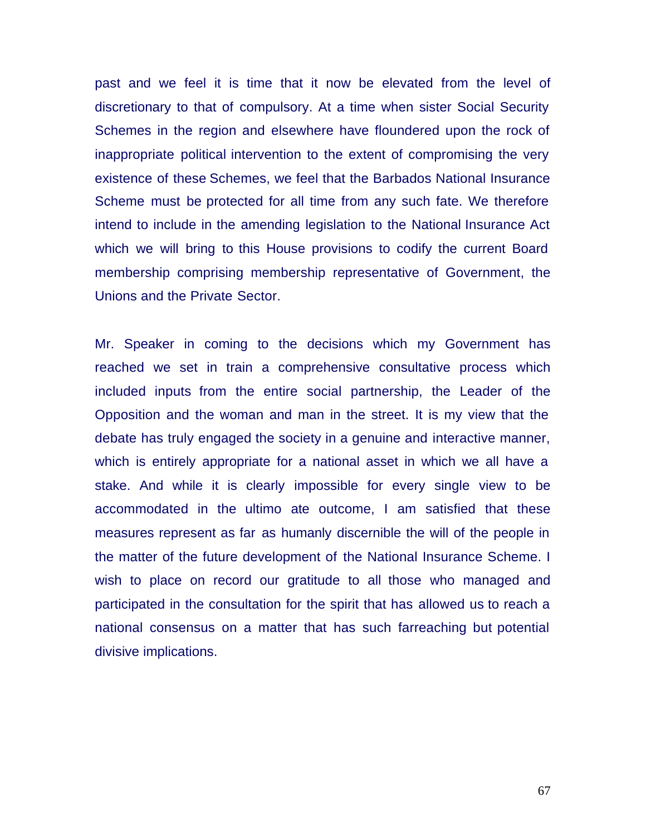past and we feel it is time that it now be elevated from the level of discretionary to that of compulsory. At a time when sister Social Security Schemes in the region and elsewhere have floundered upon the rock of inappropriate political intervention to the extent of compromising the very existence of these Schemes, we feel that the Barbados National Insurance Scheme must be protected for all time from any such fate. We therefore intend to include in the amending legislation to the National Insurance Act which we will bring to this House provisions to codify the current Board membership comprising membership representative of Government, the Unions and the Private Sector.

Mr. Speaker in coming to the decisions which my Government has reached we set in train a comprehensive consultative process which included inputs from the entire social partnership, the Leader of the Opposition and the woman and man in the street. It is my view that the debate has truly engaged the society in a genuine and interactive manner, which is entirely appropriate for a national asset in which we all have a stake. And while it is clearly impossible for every single view to be accommodated in the ultimo ate outcome, I am satisfied that these measures represent as far as humanly discernible the will of the people in the matter of the future development of the National Insurance Scheme. I wish to place on record our gratitude to all those who managed and participated in the consultation for the spirit that has allowed us to reach a national consensus on a matter that has such farreaching but potential divisive implications.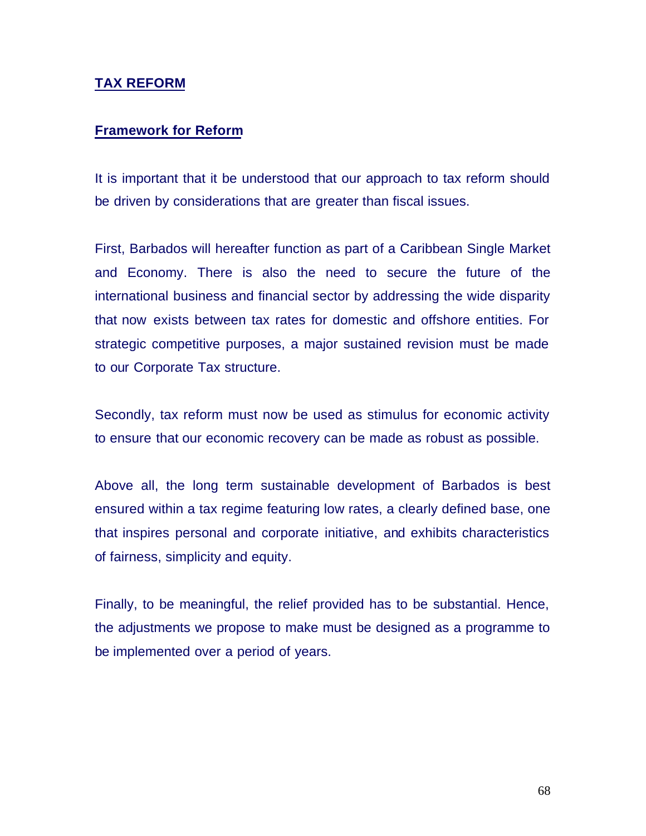## **TAX REFORM**

## **Framework for Reform**

It is important that it be understood that our approach to tax reform should be driven by considerations that are greater than fiscal issues.

First, Barbados will hereafter function as part of a Caribbean Single Market and Economy. There is also the need to secure the future of the international business and financial sector by addressing the wide disparity that now exists between tax rates for domestic and offshore entities. For strategic competitive purposes, a major sustained revision must be made to our Corporate Tax structure.

Secondly, tax reform must now be used as stimulus for economic activity to ensure that our economic recovery can be made as robust as possible.

Above all, the long term sustainable development of Barbados is best ensured within a tax regime featuring low rates, a clearly defined base, one that inspires personal and corporate initiative, and exhibits characteristics of fairness, simplicity and equity.

Finally, to be meaningful, the relief provided has to be substantial. Hence, the adjustments we propose to make must be designed as a programme to be implemented over a period of years.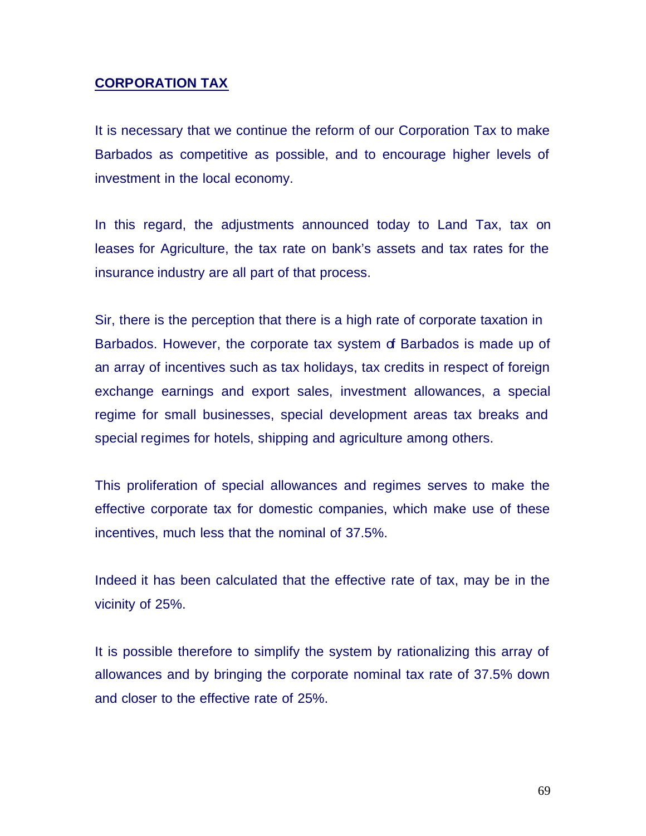# **CORPORATION TAX**

It is necessary that we continue the reform of our Corporation Tax to make Barbados as competitive as possible, and to encourage higher levels of investment in the local economy.

In this regard, the adjustments announced today to Land Tax, tax on leases for Agriculture, the tax rate on bank's assets and tax rates for the insurance industry are all part of that process.

Sir, there is the perception that there is a high rate of corporate taxation in Barbados. However, the corporate tax system of Barbados is made up of an array of incentives such as tax holidays, tax credits in respect of foreign exchange earnings and export sales, investment allowances, a special regime for small businesses, special development areas tax breaks and special regimes for hotels, shipping and agriculture among others.

This proliferation of special allowances and regimes serves to make the effective corporate tax for domestic companies, which make use of these incentives, much less that the nominal of 37.5%.

Indeed it has been calculated that the effective rate of tax, may be in the vicinity of 25%.

It is possible therefore to simplify the system by rationalizing this array of allowances and by bringing the corporate nominal tax rate of 37.5% down and closer to the effective rate of 25%.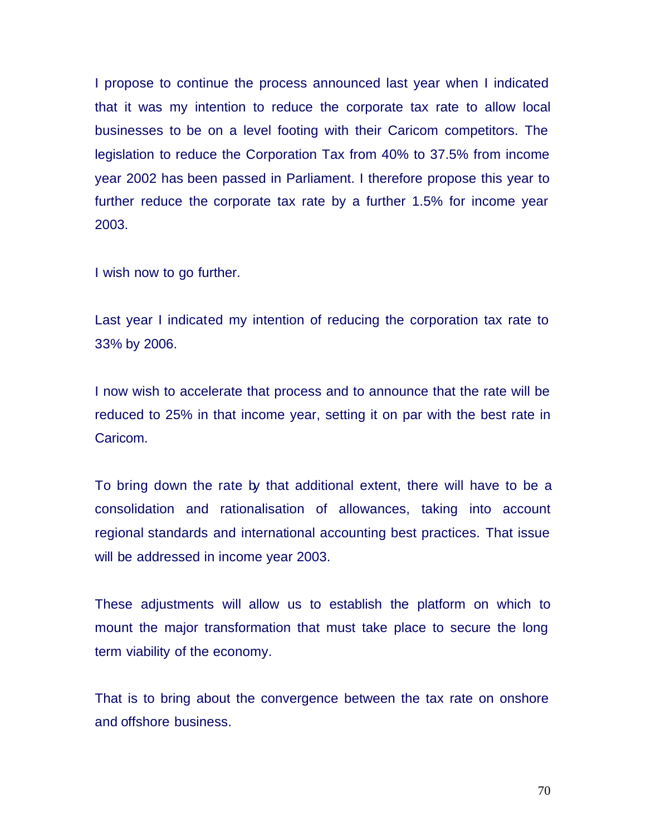I propose to continue the process announced last year when I indicated that it was my intention to reduce the corporate tax rate to allow local businesses to be on a level footing with their Caricom competitors. The legislation to reduce the Corporation Tax from 40% to 37.5% from income year 2002 has been passed in Parliament. I therefore propose this year to further reduce the corporate tax rate by a further 1.5% for income year 2003.

I wish now to go further.

Last year I indicated my intention of reducing the corporation tax rate to 33% by 2006.

I now wish to accelerate that process and to announce that the rate will be reduced to 25% in that income year, setting it on par with the best rate in Caricom.

To bring down the rate by that additional extent, there will have to be a consolidation and rationalisation of allowances, taking into account regional standards and international accounting best practices. That issue will be addressed in income year 2003.

These adjustments will allow us to establish the platform on which to mount the major transformation that must take place to secure the long term viability of the economy.

That is to bring about the convergence between the tax rate on onshore and offshore business.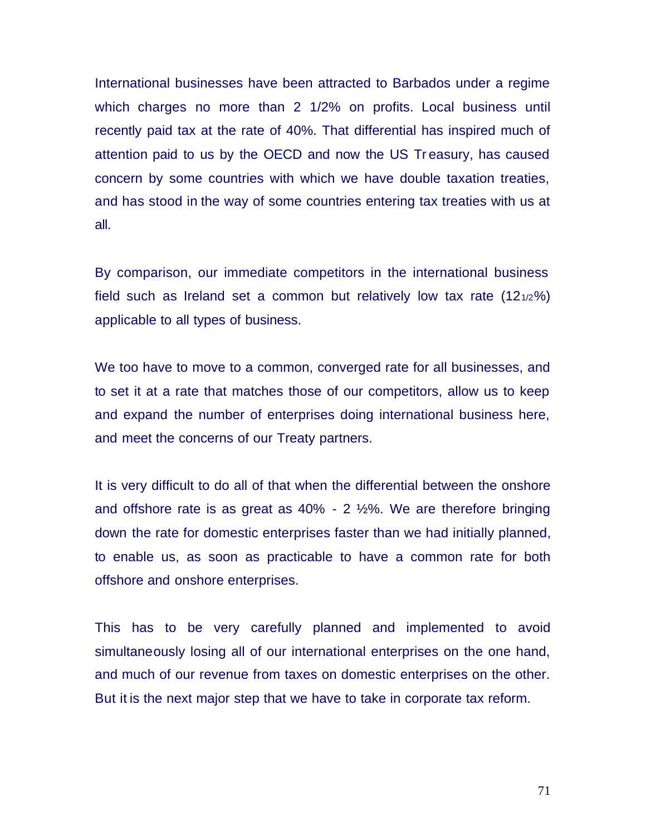International businesses have been attracted to Barbados under a regime which charges no more than 2 1/2% on profits. Local business until recently paid tax at the rate of 40%. That differential has inspired much of attention paid to us by the OECD and now the US Tr easury, has caused concern by some countries with which we have double taxation treaties, and has stood in the way of some countries entering tax treaties with us at all.

By comparison, our immediate competitors in the international business field such as Ireland set a common but relatively low tax rate  $(12_{1/2})$ %) applicable to all types of business.

We too have to move to a common, converged rate for all businesses, and to set it at a rate that matches those of our competitors, allow us to keep and expand the number of enterprises doing international business here, and meet the concerns of our Treaty partners.

It is very difficult to do all of that when the differential between the onshore and offshore rate is as great as  $40\%$  - 2  $\frac{1}{2}\%$ . We are therefore bringing down the rate for domestic enterprises faster than we had initially planned, to enable us, as soon as practicable to have a common rate for both offshore and onshore enterprises.

This has to be very carefully planned and implemented to avoid simultaneously losing all of our international enterprises on the one hand, and much of our revenue from taxes on domestic enterprises on the other. But it is the next major step that we have to take in corporate tax reform.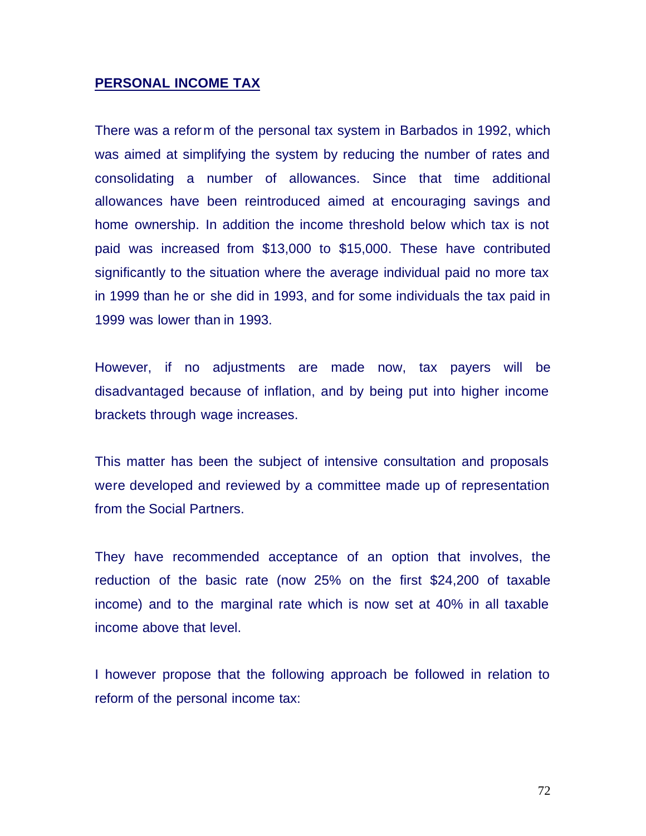#### **PERSONAL INCOME TAX**

There was a reform of the personal tax system in Barbados in 1992, which was aimed at simplifying the system by reducing the number of rates and consolidating a number of allowances. Since that time additional allowances have been reintroduced aimed at encouraging savings and home ownership. In addition the income threshold below which tax is not paid was increased from \$13,000 to \$15,000. These have contributed significantly to the situation where the average individual paid no more tax in 1999 than he or she did in 1993, and for some individuals the tax paid in 1999 was lower than in 1993.

However, if no adjustments are made now, tax payers will be disadvantaged because of inflation, and by being put into higher income brackets through wage increases.

This matter has been the subject of intensive consultation and proposals were developed and reviewed by a committee made up of representation from the Social Partners.

They have recommended acceptance of an option that involves, the reduction of the basic rate (now 25% on the first \$24,200 of taxable income) and to the marginal rate which is now set at 40% in all taxable income above that level.

I however propose that the following approach be followed in relation to reform of the personal income tax: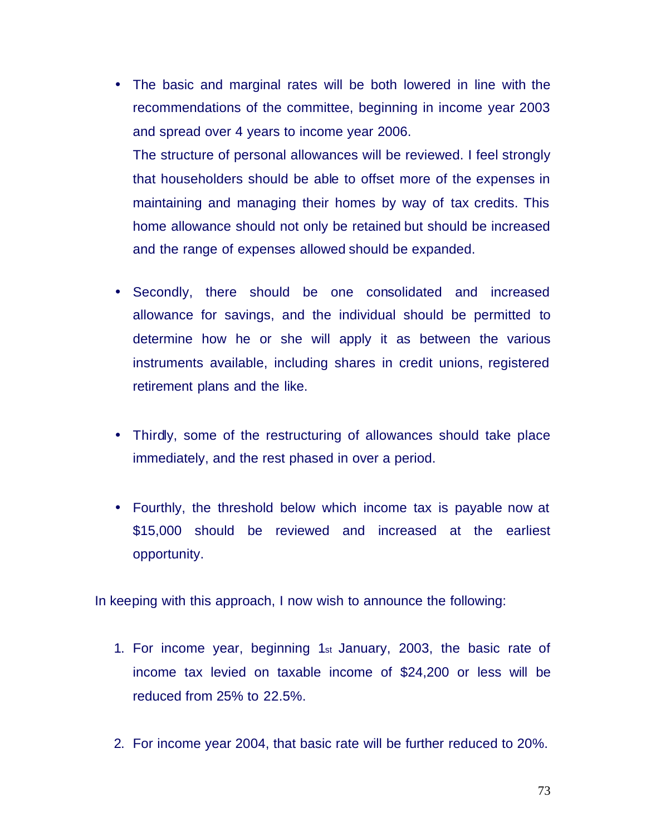• The basic and marginal rates will be both lowered in line with the recommendations of the committee, beginning in income year 2003 and spread over 4 years to income year 2006.

The structure of personal allowances will be reviewed. I feel strongly that householders should be able to offset more of the expenses in maintaining and managing their homes by way of tax credits. This home allowance should not only be retained but should be increased and the range of expenses allowed should be expanded.

- Secondly, there should be one consolidated and increased allowance for savings, and the individual should be permitted to determine how he or she will apply it as between the various instruments available, including shares in credit unions, registered retirement plans and the like.
- Thirdly, some of the restructuring of allowances should take place immediately, and the rest phased in over a period.
- Fourthly, the threshold below which income tax is payable now at \$15,000 should be reviewed and increased at the earliest opportunity.

In keeping with this approach, I now wish to announce the following:

- 1. For income year, beginning 1st January, 2003, the basic rate of income tax levied on taxable income of \$24,200 or less will be reduced from 25% to 22.5%.
- 2. For income year 2004, that basic rate will be further reduced to 20%.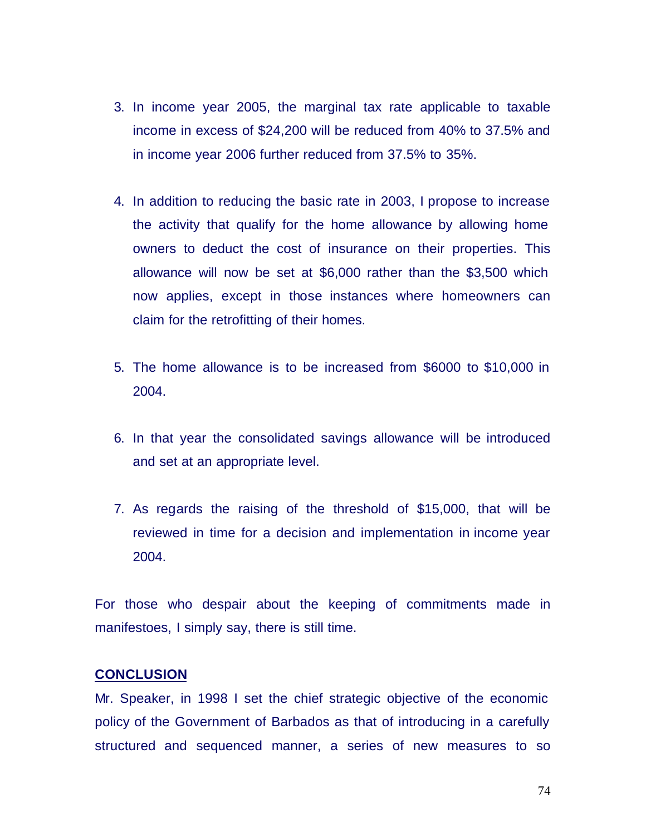- 3. In income year 2005, the marginal tax rate applicable to taxable income in excess of \$24,200 will be reduced from 40% to 37.5% and in income year 2006 further reduced from 37.5% to 35%.
- 4. In addition to reducing the basic rate in 2003, I propose to increase the activity that qualify for the home allowance by allowing home owners to deduct the cost of insurance on their properties. This allowance will now be set at \$6,000 rather than the \$3,500 which now applies, except in those instances where homeowners can claim for the retrofitting of their homes.
- 5. The home allowance is to be increased from \$6000 to \$10,000 in 2004.
- 6. In that year the consolidated savings allowance will be introduced and set at an appropriate level.
- 7. As regards the raising of the threshold of \$15,000, that will be reviewed in time for a decision and implementation in income year 2004.

For those who despair about the keeping of commitments made in manifestoes, I simply say, there is still time.

## **CONCLUSION**

Mr. Speaker, in 1998 I set the chief strategic objective of the economic policy of the Government of Barbados as that of introducing in a carefully structured and sequenced manner, a series of new measures to so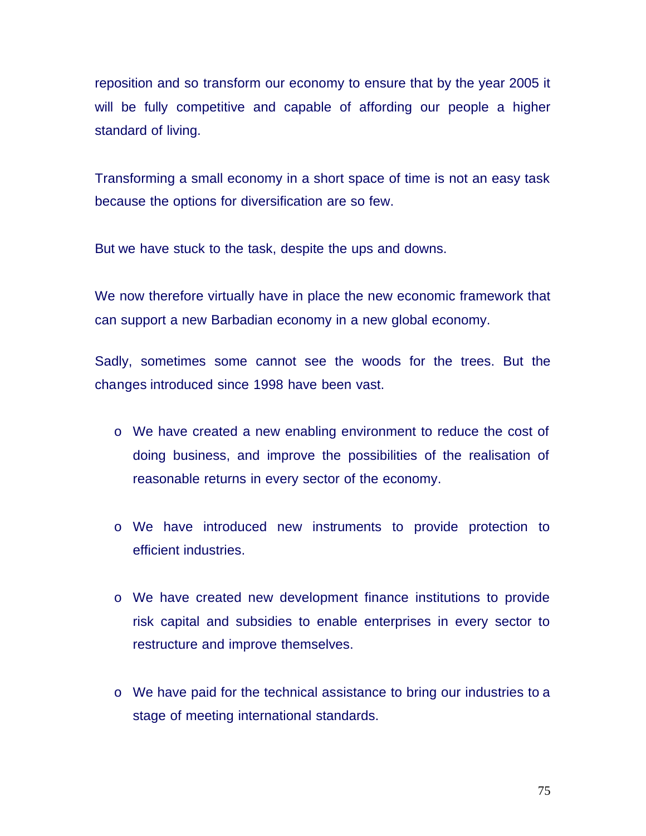reposition and so transform our economy to ensure that by the year 2005 it will be fully competitive and capable of affording our people a higher standard of living.

Transforming a small economy in a short space of time is not an easy task because the options for diversification are so few.

But we have stuck to the task, despite the ups and downs.

We now therefore virtually have in place the new economic framework that can support a new Barbadian economy in a new global economy.

Sadly, sometimes some cannot see the woods for the trees. But the changes introduced since 1998 have been vast.

- o We have created a new enabling environment to reduce the cost of doing business, and improve the possibilities of the realisation of reasonable returns in every sector of the economy.
- o We have introduced new instruments to provide protection to efficient industries.
- o We have created new development finance institutions to provide risk capital and subsidies to enable enterprises in every sector to restructure and improve themselves.
- o We have paid for the technical assistance to bring our industries to a stage of meeting international standards.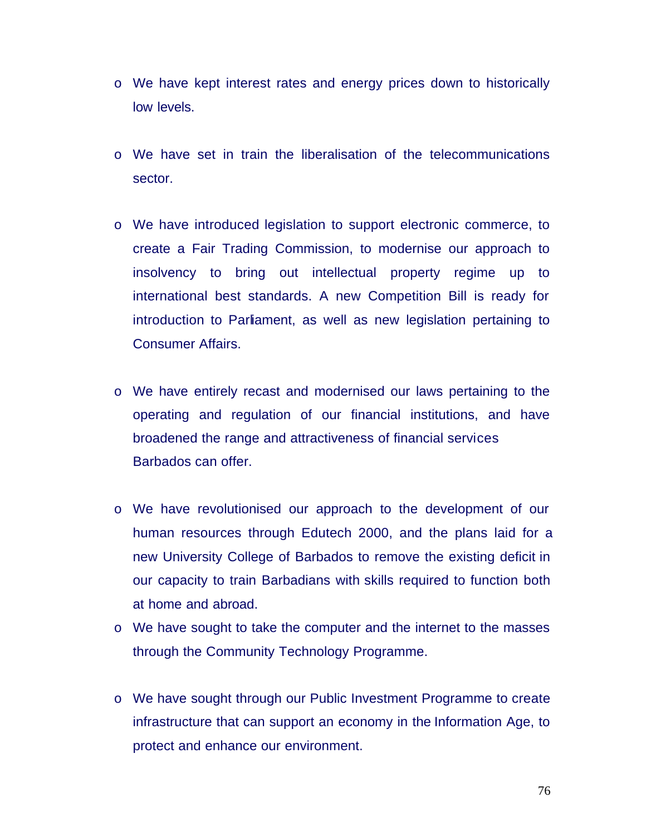- o We have kept interest rates and energy prices down to historically low levels.
- o We have set in train the liberalisation of the telecommunications sector.
- o We have introduced legislation to support electronic commerce, to create a Fair Trading Commission, to modernise our approach to insolvency to bring out intellectual property regime up to international best standards. A new Competition Bill is ready for introduction to Parliament, as well as new legislation pertaining to Consumer Affairs.
- o We have entirely recast and modernised our laws pertaining to the operating and regulation of our financial institutions, and have broadened the range and attractiveness of financial services Barbados can offer.
- o We have revolutionised our approach to the development of our human resources through Edutech 2000, and the plans laid for a new University College of Barbados to remove the existing deficit in our capacity to train Barbadians with skills required to function both at home and abroad.
- o We have sought to take the computer and the internet to the masses through the Community Technology Programme.
- o We have sought through our Public Investment Programme to create infrastructure that can support an economy in the Information Age, to protect and enhance our environment.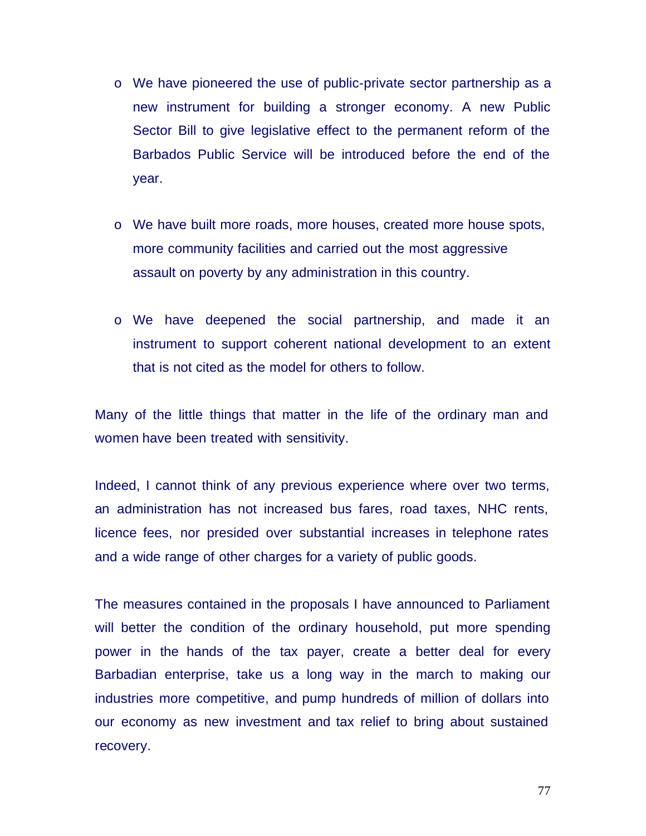- o We have pioneered the use of public-private sector partnership as a new instrument for building a stronger economy. A new Public Sector Bill to give legislative effect to the permanent reform of the Barbados Public Service will be introduced before the end of the year.
- o We have built more roads, more houses, created more house spots, more community facilities and carried out the most aggressive assault on poverty by any administration in this country.
- o We have deepened the social partnership, and made it an instrument to support coherent national development to an extent that is not cited as the model for others to follow.

Many of the little things that matter in the life of the ordinary man and women have been treated with sensitivity.

Indeed, I cannot think of any previous experience where over two terms, an administration has not increased bus fares, road taxes, NHC rents, licence fees, nor presided over substantial increases in telephone rates and a wide range of other charges for a variety of public goods.

The measures contained in the proposals I have announced to Parliament will better the condition of the ordinary household, put more spending power in the hands of the tax payer, create a better deal for every Barbadian enterprise, take us a long way in the march to making our industries more competitive, and pump hundreds of million of dollars into our economy as new investment and tax relief to bring about sustained recovery.